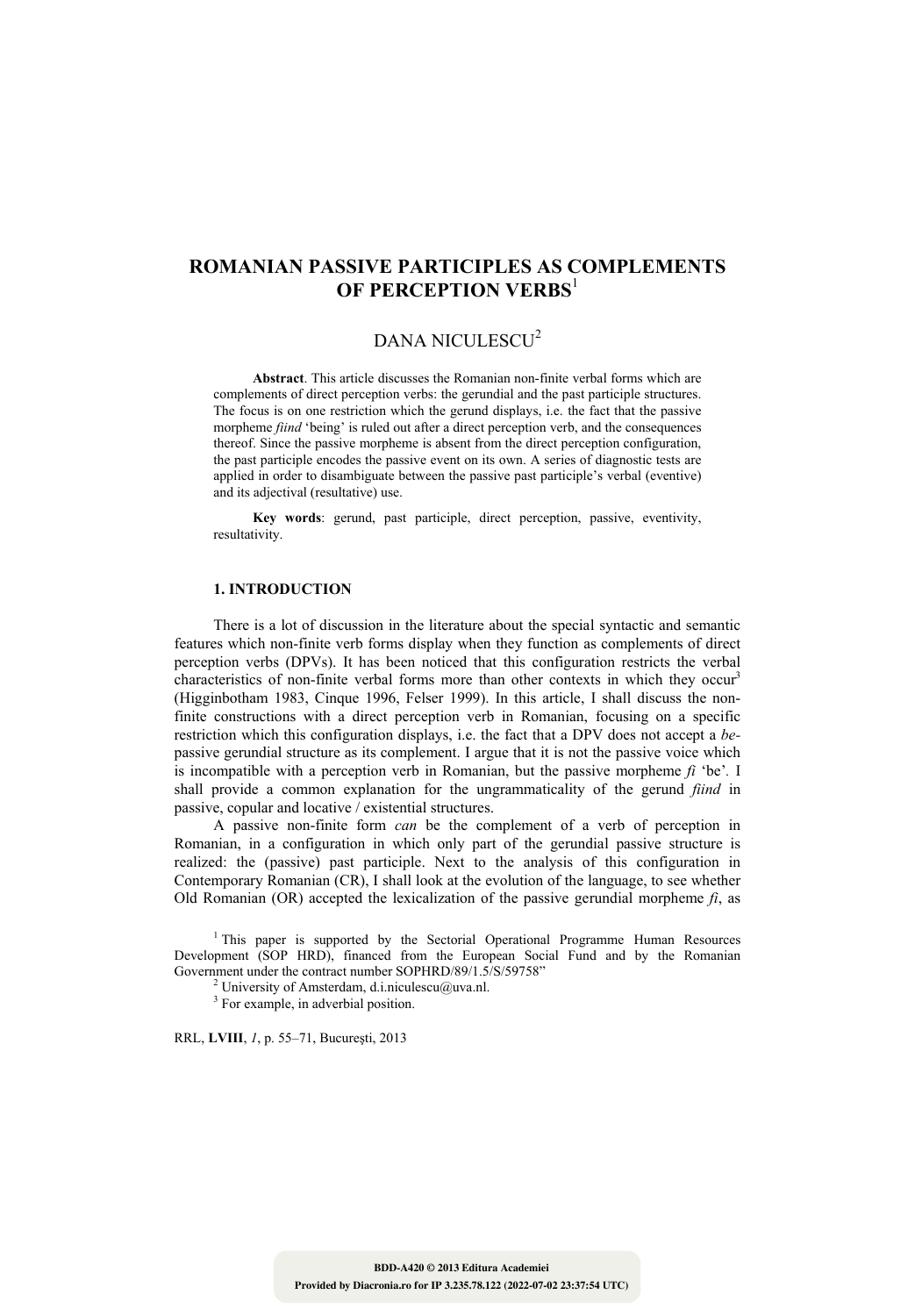# **ROMANIAN PASSIVE PARTICIPLES AS COMPLEMENTS OF PERCEPTION VERBS**<sup>1</sup>

# DANA NICULESCU<sup>2</sup>

**Abstract**. This article discusses the Romanian non-finite verbal forms which are complements of direct perception verbs: the gerundial and the past participle structures. The focus is on one restriction which the gerund displays, i.e. the fact that the passive morpheme *fiind* 'being' is ruled out after a direct perception verb, and the consequences thereof. Since the passive morpheme is absent from the direct perception configuration, the past participle encodes the passive event on its own. A series of diagnostic tests are applied in order to disambiguate between the passive past participle's verbal (eventive) and its adjectival (resultative) use.

**Key words**: gerund, past participle, direct perception, passive, eventivity, resultativity.

# **1. INTRODUCTION**

There is a lot of discussion in the literature about the special syntactic and semantic features which non-finite verb forms display when they function as complements of direct perception verbs (DPVs). It has been noticed that this configuration restricts the verbal characteristics of non-finite verbal forms more than other contexts in which they occur<sup>3</sup> (Higginbotham 1983, Cinque 1996, Felser 1999). In this article, I shall discuss the nonfinite constructions with a direct perception verb in Romanian, focusing on a specific restriction which this configuration displays, i.e. the fact that a DPV does not accept a *be*passive gerundial structure as its complement. I argue that it is not the passive voice which is incompatible with a perception verb in Romanian, but the passive morpheme *fi* 'be'*.* I shall provide a common explanation for the ungrammaticality of the gerund *fiind* in passive, copular and locative / existential structures.

A passive non-finite form *can* be the complement of a verb of perception in Romanian, in a configuration in which only part of the gerundial passive structure is realized: the (passive) past participle. Next to the analysis of this configuration in Contemporary Romanian (CR), I shall look at the evolution of the language, to see whether Old Romanian (OR) accepted the lexicalization of the passive gerundial morpheme  $f_i$ , as

<sup>1</sup> This paper is supported by the Sectorial Operational Programme Human Resources Development (SOP HRD), financed from the European Social Fund and by the Romanian Government under the contract number SOPHRD/89/1.5/S/59758"

<sup>2</sup> University of Amsterdam, d.i.niculescu@uva.nl.

<sup>3</sup> For example, in adverbial position.

RRL, **LVIII**, *1*, p. 55–71, Bucureşti, 2013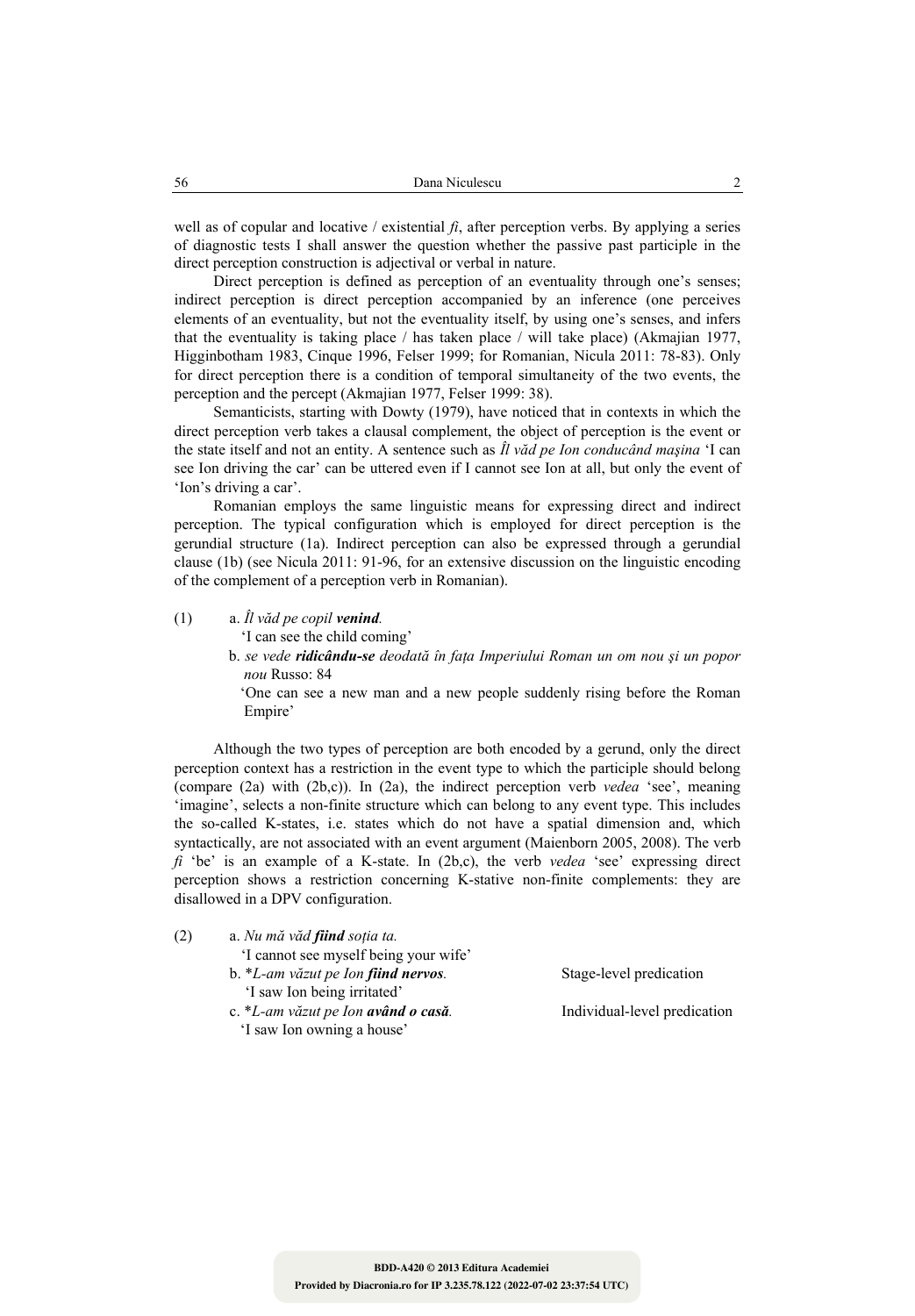well as of copular and locative / existential *fi*, after perception verbs. By applying a series of diagnostic tests I shall answer the question whether the passive past participle in the direct perception construction is adjectival or verbal in nature.

Direct perception is defined as perception of an eventuality through one's senses; indirect perception is direct perception accompanied by an inference (one perceives elements of an eventuality, but not the eventuality itself, by using one's senses, and infers that the eventuality is taking place / has taken place / will take place) (Akmajian 1977, Higginbotham 1983, Cinque 1996, Felser 1999; for Romanian, Nicula 2011: 78-83). Only for direct perception there is a condition of temporal simultaneity of the two events, the perception and the percept (Akmajian 1977, Felser 1999: 38).

Semanticists, starting with Dowty (1979), have noticed that in contexts in which the direct perception verb takes a clausal complement, the object of perception is the event or the state itself and not an entity. A sentence such as *Îl văd pe Ion conducând maşina* 'I can see Ion driving the car' can be uttered even if I cannot see Ion at all, but only the event of 'Ion's driving a car'.

Romanian employs the same linguistic means for expressing direct and indirect perception. The typical configuration which is employed for direct perception is the gerundial structure (1a). Indirect perception can also be expressed through a gerundial clause (1b) (see Nicula 2011: 91-96, for an extensive discussion on the linguistic encoding of the complement of a perception verb in Romanian).

#### (1)  $a. \hat{I}l \times \hat{a}d$  *pe copil venind.*

'I can see the child coming'

 b. *se vede ridicându-se deodată în faţa Imperiului Roman un om nou şi un popor nou* Russo: 84

 'One can see a new man and a new people suddenly rising before the Roman Empire'

Although the two types of perception are both encoded by a gerund, only the direct perception context has a restriction in the event type to which the participle should belong (compare (2a) with (2b,c)). In (2a), the indirect perception verb *vedea* 'see', meaning 'imagine', selects a non-finite structure which can belong to any event type. This includes the so-called K-states, i.e. states which do not have a spatial dimension and, which syntactically, are not associated with an event argument (Maienborn 2005, 2008). The verb *fi* 'be' is an example of a K-state. In (2b,c), the verb *vedea* 'see' expressing direct perception shows a restriction concerning K-stative non-finite complements: they are disallowed in a DPV configuration.

- (2) a. *Nu mă văd fiind soţia ta.* 
	- 'I cannot see myself being your wife' b. \**L-am văzut pe Ion fiind nervos.* Stage-level predication 'I saw Ion being irritated' c. \**L-am văzut pe Ion având o casă.* Individual-level predication
		- 'I saw Ion owning a house'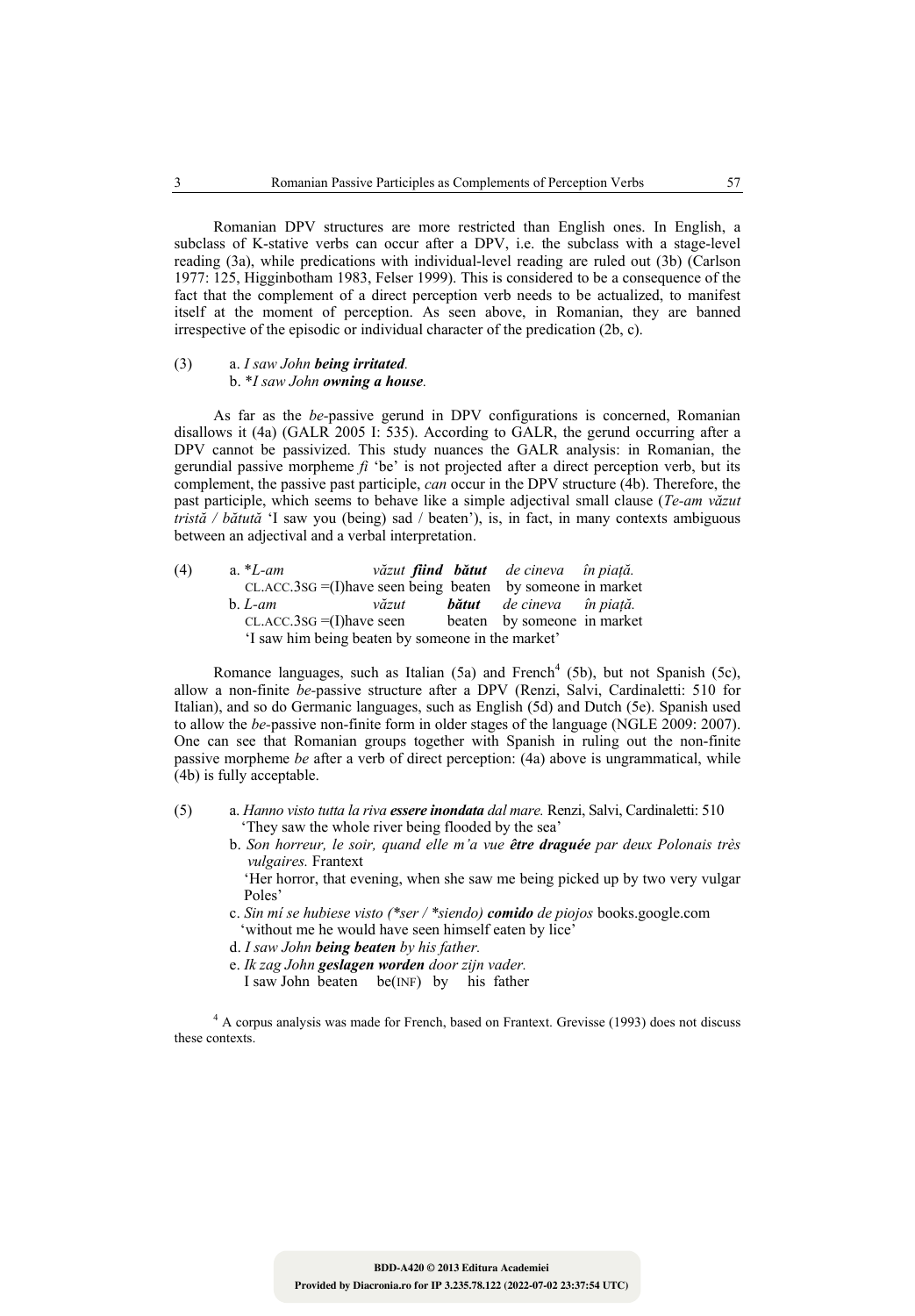Romanian DPV structures are more restricted than English ones. In English, a subclass of K-stative verbs can occur after a DPV, i.e. the subclass with a stage-level reading (3a), while predications with individual-level reading are ruled out (3b) (Carlson 1977: 125, Higginbotham 1983, Felser 1999). This is considered to be a consequence of the fact that the complement of a direct perception verb needs to be actualized, to manifest itself at the moment of perception. As seen above, in Romanian, they are banned irrespective of the episodic or individual character of the predication (2b, c).

#### (3) a. *I saw John being irritated.*  b. \**I saw John owning a house.*

As far as the *be-*passive gerund in DPV configurations is concerned, Romanian disallows it (4a) (GALR 2005 I: 535). According to GALR, the gerund occurring after a DPV cannot be passivized. This study nuances the GALR analysis: in Romanian, the gerundial passive morpheme *fi* 'be' is not projected after a direct perception verb, but its complement, the passive past participle, *can* occur in the DPV structure (4b). Therefore, the past participle, which seems to behave like a simple adjectival small clause (*Te-am văzut tristă / bătută* 'I saw you (being) sad / beaten'), is, in fact, in many contexts ambiguous between an adjectival and a verbal interpretation.

| (4) | a. $L - am$ |                                                               |  | văzut <b>fiind bătut</b> de cineva în piață. |  |  |  |  |
|-----|-------------|---------------------------------------------------------------|--|----------------------------------------------|--|--|--|--|
|     |             | $CLACC.3SG = (I) have seen being beaten by someone in market$ |  |                                              |  |  |  |  |
|     | $b.$ L-am   | văzut                                                         |  | <b>bătut</b> de cineva în piată.             |  |  |  |  |
|     |             | $CL$ .ACC.3sG = (I) have seen                                 |  | beaten by someone in market                  |  |  |  |  |
|     |             | 'I saw him being beaten by someone in the market'             |  |                                              |  |  |  |  |

Romance languages, such as Italian  $(5a)$  and French<sup>4</sup> (5b), but not Spanish (5c), allow a non-finite *be-*passive structure after a DPV (Renzi, Salvi, Cardinaletti: 510 for Italian), and so do Germanic languages, such as English (5d) and Dutch (5e). Spanish used to allow the *be-*passive non-finite form in older stages of the language (NGLE 2009: 2007). One can see that Romanian groups together with Spanish in ruling out the non-finite passive morpheme *be* after a verb of direct perception: (4a) above is ungrammatical, while (4b) is fully acceptable.

- (5) a. *Hanno visto tutta la riva essere inondata dal mare.* Renzi, Salvi, Cardinaletti: 510 'They saw the whole river being flooded by the sea'
	- b. *Son horreur, le soir, quand elle m'a vue être draguée par deux Polonais très vulgaires.* Frantext

 'Her horror, that evening, when she saw me being picked up by two very vulgar Poles'

- c. *Sin mí se hubiese visto (\*ser / \*siendo) comido de piojos* books.google.com 'without me he would have seen himself eaten by lice'
- d. *I saw John being beaten by his father.*
- e. *Ik zag John geslagen worden door zijn vader.*

I saw John beaten be(INF) by his father

<sup>4</sup> A corpus analysis was made for French, based on Frantext. Grevisse (1993) does not discuss these contexts.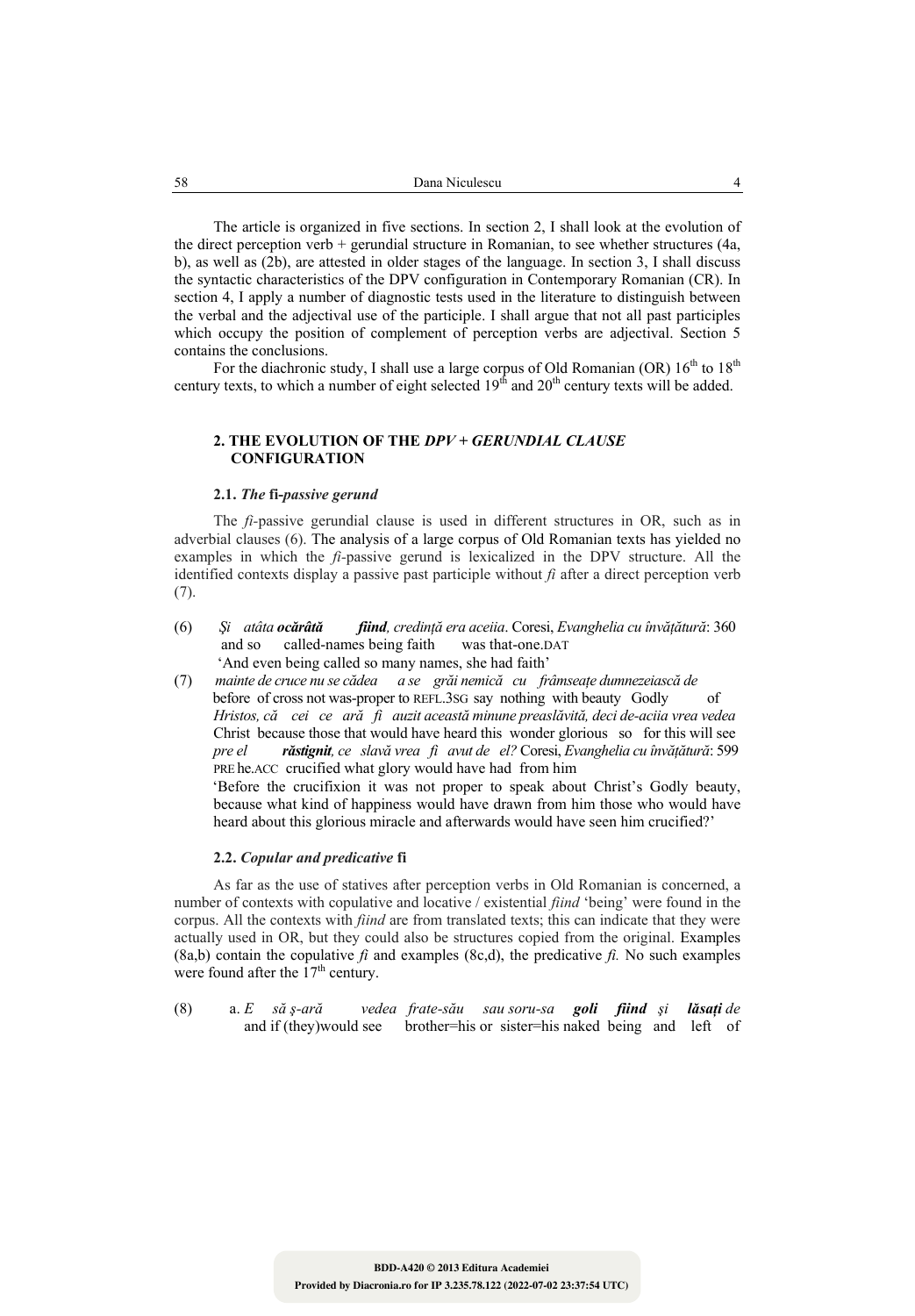The article is organized in five sections. In section 2, I shall look at the evolution of the direct perception verb + gerundial structure in Romanian, to see whether structures (4a, b), as well as (2b), are attested in older stages of the language. In section 3, I shall discuss the syntactic characteristics of the DPV configuration in Contemporary Romanian (CR). In section 4, I apply a number of diagnostic tests used in the literature to distinguish between the verbal and the adjectival use of the participle. I shall argue that not all past participles which occupy the position of complement of perception verbs are adjectival. Section 5 contains the conclusions.

For the diachronic study, I shall use a large corpus of Old Romanian (OR)  $16<sup>th</sup>$  to  $18<sup>th</sup>$ century texts, to which a number of eight selected  $19<sup>th</sup>$  and  $20<sup>th</sup>$  century texts will be added.

# **2. THE EVOLUTION OF THE** *DPV + GERUNDIAL CLAUSE* **CONFIGURATION**

#### **2.1.** *The* **fi-***passive gerund*

The *fi-*passive gerundial clause is used in different structures in OR, such as in adverbial clauses (6). The analysis of a large corpus of Old Romanian texts has yielded no examples in which the *fi-*passive gerund is lexicalized in the DPV structure. All the identified contexts display a passive past participle without  $f_i$  after a direct perception verb (7).

- (6) *Şi atâta ocărâtă fiind, credinţă era aceiia*. Coresi, *Evanghelia cu învăţătură*: 360 and so called-names being faith was that-one.DAT 'And even being called so many names, she had faith'
- (7) *mainte de cruce nu se cădea a se grăi nemică cu frâmseaţe dumnezeiască de*  before of cross not was-proper to REFL.3SG say nothing with beauty Godly of *Hristos, că cei ce ară fi auzit această minune preaslăvită, deci de-aciia vrea vedea*  Christ because those that would have heard this wonder glorious so for this will see *pre el răstignit, ce slavă vrea fi avut de el?* Coresi, *Evanghelia cu învăţătură*: 599 PRE he.ACC crucified what glory would have had from him 'Before the crucifixion it was not proper to speak about Christ's Godly beauty, because what kind of happiness would have drawn from him those who would have heard about this glorious miracle and afterwards would have seen him crucified?'

#### **2.2.** *Copular and predicative* **fi**

As far as the use of statives after perception verbs in Old Romanian is concerned, a number of contexts with copulative and locative / existential *fiind* 'being' were found in the corpus. All the contexts with *fiind* are from translated texts; this can indicate that they were actually used in OR, but they could also be structures copied from the original. Examples  $(8a,b)$  contain the copulative *fi* and examples  $(8c,d)$ , the predicative *fi*. No such examples were found after the  $17<sup>th</sup>$  century.

(8) a. *E să ş-ară vedea frate-său sau soru-sa goli fiind şi lăsaţi de*  and if (they)would see brother=his or sister=his naked being and left of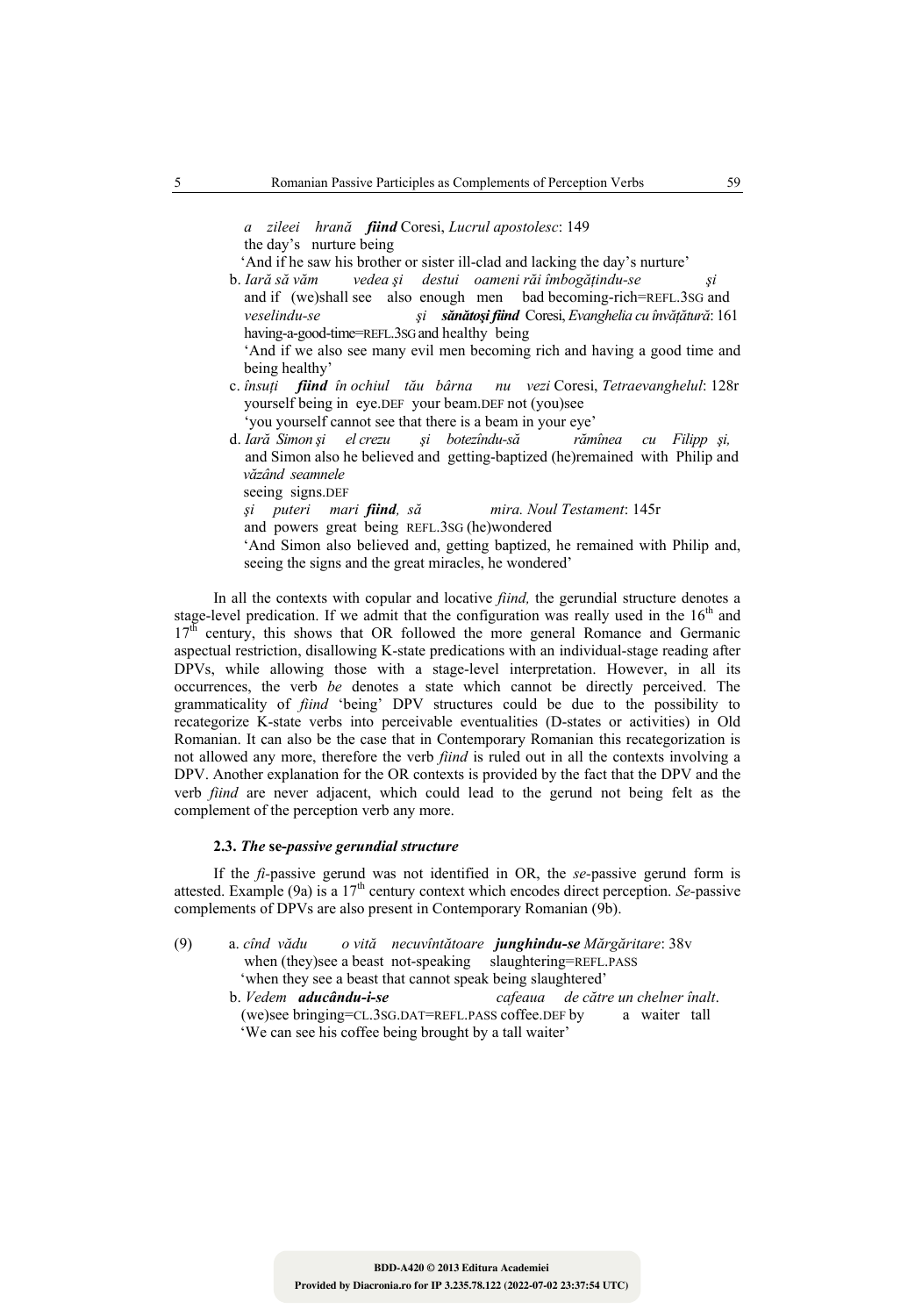*a zileei hrană fiind* Coresi, *Lucrul apostolesc*: 149 the day'snurture being

'And if he saw his brother or sister ill-clad and lacking the day's nurture'

b. *Iară să văm vedea şi destui oameni răi îmbogăţindu-se şi*  and if (we)shall see also enough men bad becoming-rich=REFL.3SG and  *veselindu-se şi sănătoşi fiind* Coresi, *Evanghelia cu învăţătură*: 161 having-a-good-time=REFL.3SG and healthy being 'And if we also see many evil men becoming rich and having a good time and

being healthy'

- c. *însuţi fiind în ochiul tău bârna nu vezi* Coresi, *Tetraevanghelul*: 128r yourself being in eye.DEF your beam.DEF not (you)see
- 'you yourself cannot see that there is a beam in your eye'<br>*lară Simon și el crezu și botezîndu-să rămînea* d. *Iară Simon şi el crezu şi botezîndu-să rămînea cu Filipp şi,*  and Simon also he believed and getting-baptized (he)remained with Philip and  *văzând seamnele*

seeing signs.DEF

 *şi puteri mari fiind, să mira. Noul Testament*: 145r and powers great being REFL.3SG (he)wondered 'And Simon also believed and, getting baptized, he remained with Philip and, seeing the signs and the great miracles, he wondered'

In all the contexts with copular and locative *fiind,* the gerundial structure denotes a stage-level predication. If we admit that the configuration was really used in the  $16<sup>th</sup>$  and 17<sup>th</sup> century, this shows that OR followed the more general Romance and Germanic aspectual restriction, disallowing K-state predications with an individual-stage reading after DPVs, while allowing those with a stage-level interpretation. However, in all its occurrences, the verb *be* denotes a state which cannot be directly perceived. The grammaticality of *fiind* 'being' DPV structures could be due to the possibility to recategorize K-state verbs into perceivable eventualities (D-states or activities) in Old Romanian. It can also be the case that in Contemporary Romanian this recategorization is not allowed any more, therefore the verb *fiind* is ruled out in all the contexts involving a DPV. Another explanation for the OR contexts is provided by the fact that the DPV and the verb *fiind* are never adjacent, which could lead to the gerund not being felt as the complement of the perception verb any more.

## **2.3.** *The* **se-***passive gerundial structure*

If the *fi-*passive gerund was not identified in OR, the *se-*passive gerund form is attested. Example (9a) is a 17th century context which encodes direct perception. *Se-*passive complements of DPVs are also present in Contemporary Romanian (9b).

- (9) a. *cînd vădu o vită necuvîntătoare junghindu-se Mărgăritare*: 38v when (they)see a beast not-speaking slaughtering=REFL.PASS 'when they see a beast that cannot speak being slaughtered'
	- b. *Vedem aducându-i-se cafeaua de către un chelner înalt*. (we)see bringing=CL.3SG.DAT=REFL.PASS coffee.DEF by a waiter tall 'We can see his coffee being brought by a tall waiter'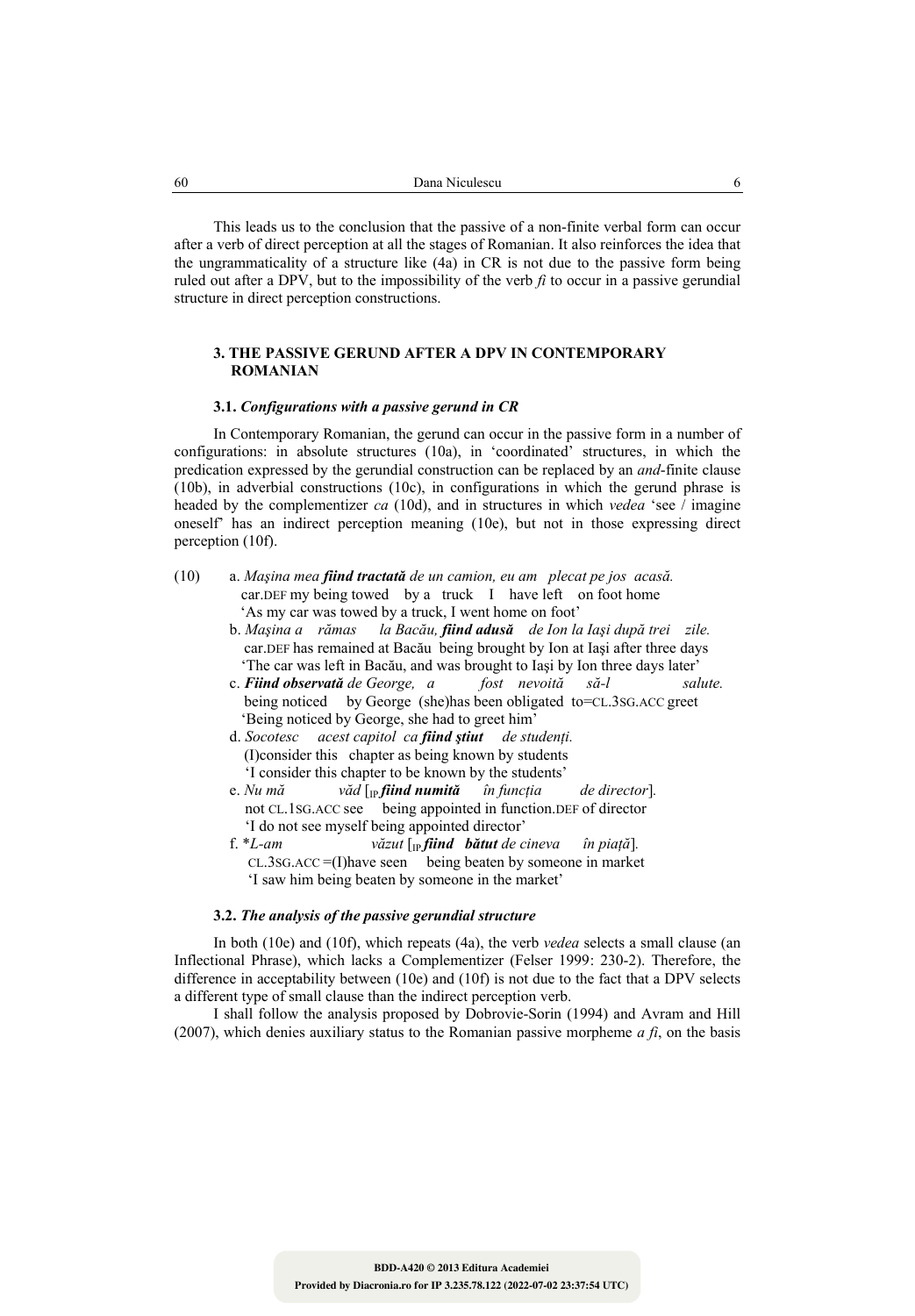This leads us to the conclusion that the passive of a non-finite verbal form can occur after a verb of direct perception at all the stages of Romanian. It also reinforces the idea that the ungrammaticality of a structure like (4a) in CR is not due to the passive form being ruled out after a DPV, but to the impossibility of the verb  $\hat{h}$  to occur in a passive gerundial structure in direct perception constructions.

# **3. THE PASSIVE GERUND AFTER A DPV IN CONTEMPORARY ROMANIAN**

#### **3.1.** *Configurations with a passive gerund in CR*

In Contemporary Romanian, the gerund can occur in the passive form in a number of configurations: in absolute structures (10a), in 'coordinated' structures, in which the predication expressed by the gerundial construction can be replaced by an *and*-finite clause (10b), in adverbial constructions (10c), in configurations in which the gerund phrase is headed by the complementizer *ca* (10d), and in structures in which *vedea* 'see / imagine oneself' has an indirect perception meaning (10e), but not in those expressing direct perception (10f).

- (10) a. *Maşina mea fiind tractată de un camion, eu am plecat pe jos acasă.*  car.DEF my being towed by a truck I have left on foot home 'As my car was towed by a truck, I went home on foot'
	- b. *Maşina a rămas la Bacău, fiind adusă de Ion la Iaşi după trei zile.*  car.DEF has remained at Bacău being brought by Ion at Iaşi after three days 'The car was left in Bacău, and was brought to Iaşi by Ion three days later'
	- c. *Fiind observată de George, a fost nevoită să-l salute.*  being noticed by George (she)has been obligated to=CL.3SG.ACC greet 'Being noticed by George, she had to greet him'
	- d. *Socotesc acest capitol ca fiind ştiut de studenţi.*  (I)consider this chapter as being known by students 'I consider this chapter to be known by the students'
	- e. Nu mă văd  $\int_{\text{IP}}$  *fiind numită* în funcția de director. not CL.1SG.ACC see being appointed in function.DEF of director 'I do not see myself being appointed director'
	- f. \*L-am  $v\check{a}zut$   $\lbrack$ *<sub>IP</sub> fiind bătut* de cineva în piață]. CL.3SG.ACC =(I)have seen being beaten by someone in market 'I saw him being beaten by someone in the market'

# **3.2.** *The analysis of the passive gerundial structure*

In both (10e) and (10f), which repeats (4a), the verb *vedea* selects a small clause (an Inflectional Phrase), which lacks a Complementizer (Felser 1999: 230-2). Therefore, the difference in acceptability between (10e) and (10f) is not due to the fact that a DPV selects a different type of small clause than the indirect perception verb.

I shall follow the analysis proposed by Dobrovie-Sorin (1994) and Avram and Hill (2007), which denies auxiliary status to the Romanian passive morpheme  $a \hat{f}$ , on the basis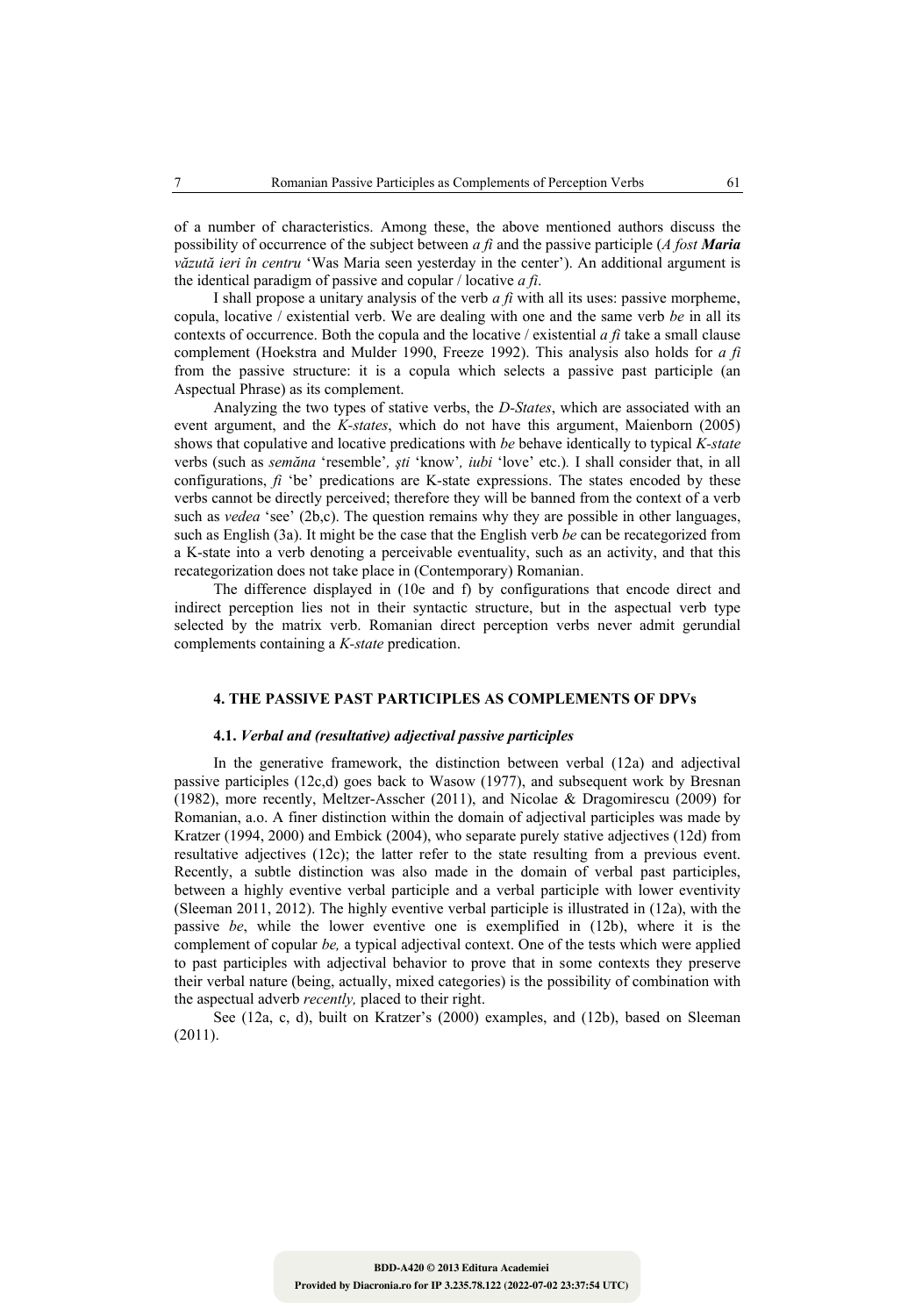of a number of characteristics. Among these, the above mentioned authors discuss the possibility of occurrence of the subject between *a fi* and the passive participle (*A fost Maria văzută ieri în centru* 'Was Maria seen yesterday in the center'). An additional argument is the identical paradigm of passive and copular / locative *a fi*.

I shall propose a unitary analysis of the verb *a fi* with all its uses: passive morpheme, copula, locative / existential verb. We are dealing with one and the same verb *be* in all its contexts of occurrence. Both the copula and the locative / existential *a fi* take a small clause complement (Hoekstra and Mulder 1990, Freeze 1992). This analysis also holds for *a fi*  from the passive structure: it is a copula which selects a passive past participle (an Aspectual Phrase) as its complement.

Analyzing the two types of stative verbs, the *D-States*, which are associated with an event argument, and the *K-states*, which do not have this argument, Maienborn (2005) shows that copulative and locative predications with *be* behave identically to typical *K-state*  verbs (such as *semăna* 'resemble'*, şti* 'know'*, iubi* 'love' etc.)*.* I shall consider that, in all configurations, *fi* 'be' predications are K-state expressions. The states encoded by these verbs cannot be directly perceived; therefore they will be banned from the context of a verb such as *vedea* 'see' (2b,c). The question remains why they are possible in other languages, such as English (3a). It might be the case that the English verb *be* can be recategorized from a K-state into a verb denoting a perceivable eventuality, such as an activity, and that this recategorization does not take place in (Contemporary) Romanian.

The difference displayed in (10e and f) by configurations that encode direct and indirect perception lies not in their syntactic structure, but in the aspectual verb type selected by the matrix verb. Romanian direct perception verbs never admit gerundial complements containing a *K-state* predication.

# **4. THE PASSIVE PAST PARTICIPLES AS COMPLEMENTS OF DPVs**

#### **4.1.** *Verbal and (resultative) adjectival passive participles*

In the generative framework, the distinction between verbal (12a) and adjectival passive participles (12c,d) goes back to Wasow (1977), and subsequent work by Bresnan (1982), more recently, Meltzer-Asscher (2011), and Nicolae & Dragomirescu (2009) for Romanian, a.o. A finer distinction within the domain of adjectival participles was made by Kratzer (1994, 2000) and Embick (2004), who separate purely stative adjectives (12d) from resultative adjectives (12c); the latter refer to the state resulting from a previous event. Recently, a subtle distinction was also made in the domain of verbal past participles, between a highly eventive verbal participle and a verbal participle with lower eventivity (Sleeman 2011, 2012). The highly eventive verbal participle is illustrated in (12a), with the passive *be*, while the lower eventive one is exemplified in (12b), where it is the complement of copular *be,* a typical adjectival context. One of the tests which were applied to past participles with adjectival behavior to prove that in some contexts they preserve their verbal nature (being, actually, mixed categories) is the possibility of combination with the aspectual adverb *recently,* placed to their right.

See (12a, c, d), built on Kratzer's (2000) examples, and (12b), based on Sleeman (2011).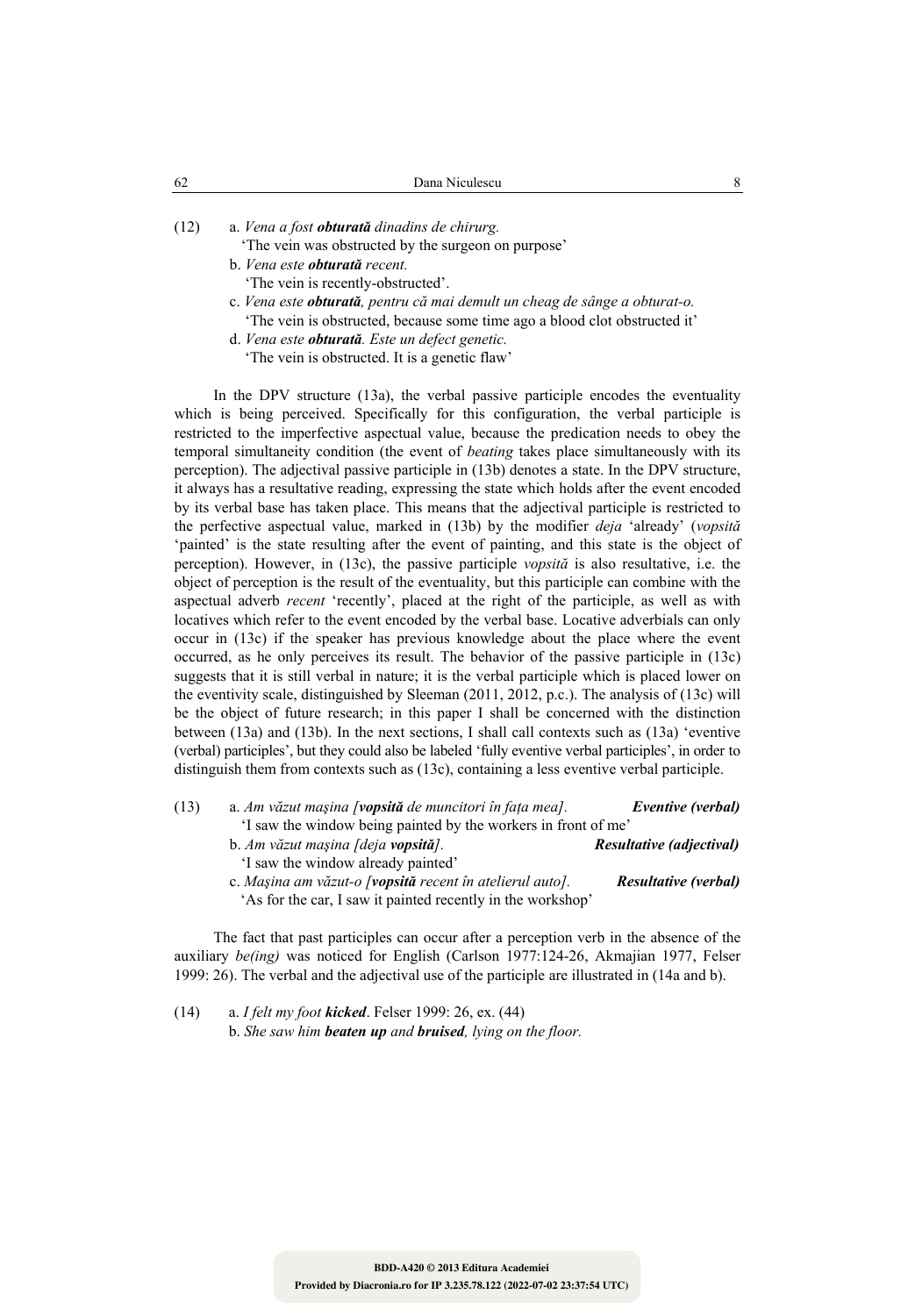(12) a. *Vena a fost obturată dinadins de chirurg.* 

- 'The vein was obstructed by the surgeon on purpose' b. *Vena este obturată recent.* 
	- 'The vein is recently-obstructed'.
- c. *Vena este obturată, pentru că mai demult un cheag de sânge a obturat-o.*  'The vein is obstructed, because some time ago a blood clot obstructed it'
- d. *Vena este obturată. Este un defect genetic.*  'The vein is obstructed. It is a genetic flaw'

In the DPV structure (13a), the verbal passive participle encodes the eventuality which is being perceived. Specifically for this configuration, the verbal participle is restricted to the imperfective aspectual value, because the predication needs to obey the temporal simultaneity condition (the event of *beating* takes place simultaneously with its perception). The adjectival passive participle in (13b) denotes a state. In the DPV structure, it always has a resultative reading, expressing the state which holds after the event encoded by its verbal base has taken place. This means that the adjectival participle is restricted to the perfective aspectual value, marked in (13b) by the modifier *deja* 'already' (*vopsită*  'painted' is the state resulting after the event of painting, and this state is the object of perception). However, in (13c), the passive participle *vopsită* is also resultative, i.e. the object of perception is the result of the eventuality, but this participle can combine with the aspectual adverb *recent* 'recently', placed at the right of the participle, as well as with locatives which refer to the event encoded by the verbal base. Locative adverbials can only occur in (13c) if the speaker has previous knowledge about the place where the event occurred, as he only perceives its result. The behavior of the passive participle in (13c) suggests that it is still verbal in nature; it is the verbal participle which is placed lower on the eventivity scale, distinguished by Sleeman (2011, 2012, p.c.). The analysis of (13c) will be the object of future research; in this paper I shall be concerned with the distinction between (13a) and (13b). In the next sections, I shall call contexts such as (13a) 'eventive (verbal) participles', but they could also be labeled 'fully eventive verbal participles', in order to distinguish them from contexts such as (13c), containing a less eventive verbal participle.

| (13) | a. Am văzut mașina [ <b>vopsită</b> de muncitori în fața mea]. | Eventive (verbal)           |  |  |  |  |
|------|----------------------------------------------------------------|-----------------------------|--|--|--|--|
|      | I saw the window being painted by the workers in front of me'  |                             |  |  |  |  |
|      | b. Am văzut mașina [deja vopsită].                             | Resultative (adjectival)    |  |  |  |  |
|      | I saw the window already painted'                              |                             |  |  |  |  |
|      | c. Mașina am văzut-o [vopsită recent în atelierul auto].       | <b>Resultative (verbal)</b> |  |  |  |  |
|      | 'As for the car, I saw it painted recently in the workshop'    |                             |  |  |  |  |

The fact that past participles can occur after a perception verb in the absence of the auxiliary *be(ing)* was noticed for English (Carlson 1977:124-26, Akmajian 1977, Felser 1999: 26). The verbal and the adjectival use of the participle are illustrated in (14a and b).

(14) a. *I felt my foot kicked*. Felser 1999: 26, ex. (44) b. *She saw him beaten up and bruised, lying on the floor.*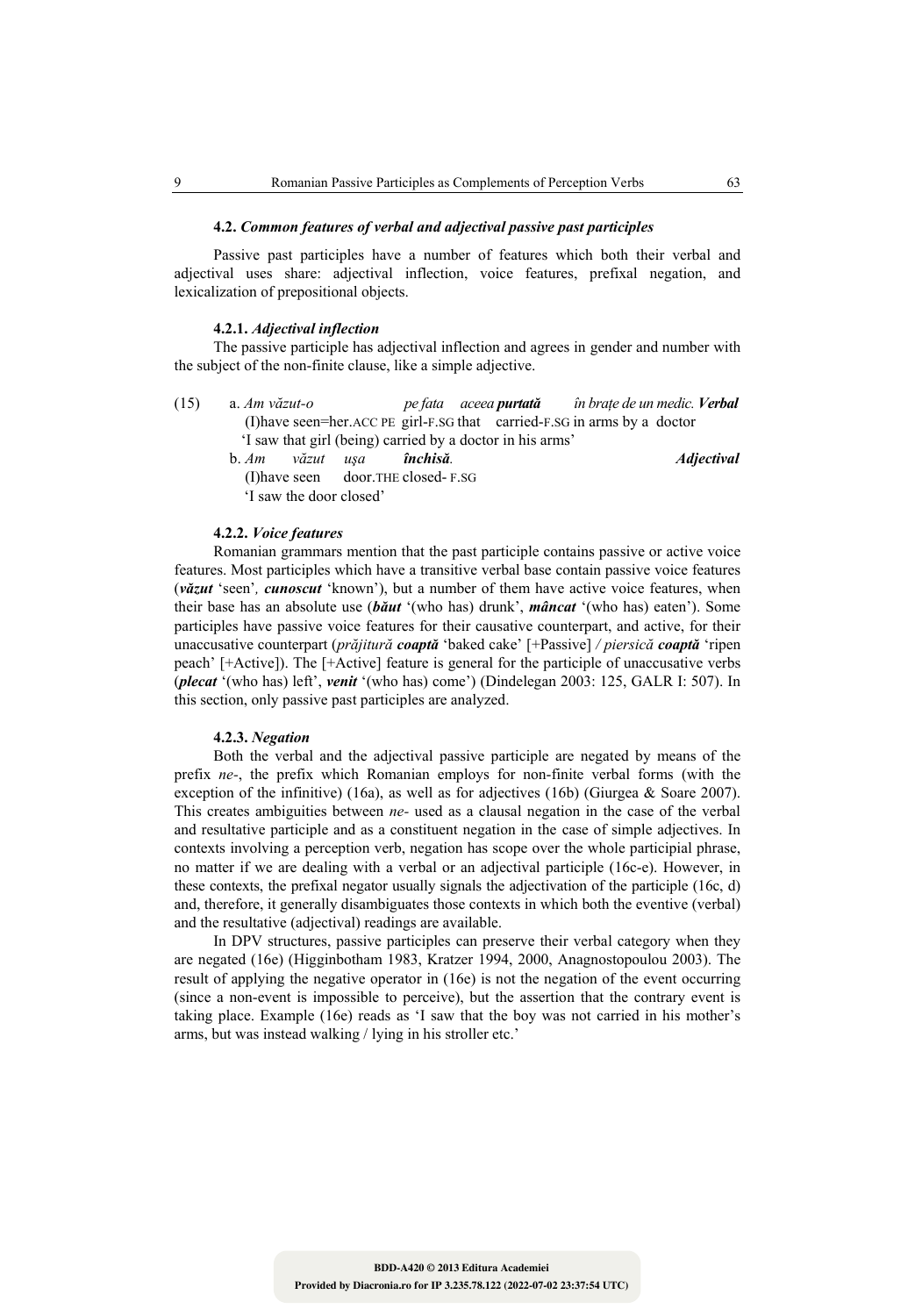### **4.2.** *Common features of verbal and adjectival passive past participles*

Passive past participles have a number of features which both their verbal and adjectival uses share: adjectival inflection, voice features, prefixal negation, and lexicalization of prepositional objects.

### **4.2.1.** *Adjectival inflection*

The passive participle has adjectival inflection and agrees in gender and number with the subject of the non-finite clause, like a simple adjective.

(15) a. *Am văzut-o pe fata aceea purtată în braţe de un medic. Verbal* (I)have seen=her.ACC PE girl-F.SG that carried-F.SG in arms by a doctor 'I saw that girl (being) carried by a doctor in his arms'

b. *Am văzut uşa închisă. Adjectival*

 (I)have seen door.THE closed- F.SG 'I saw the door closed'

#### **4.2.2.** *Voice features*

Romanian grammars mention that the past participle contains passive or active voice features. Most participles which have a transitive verbal base contain passive voice features (*văzut* 'seen'*, cunoscut* 'known'), but a number of them have active voice features, when their base has an absolute use (*băut* '(who has) drunk', *mâncat* '(who has) eaten'). Some participles have passive voice features for their causative counterpart, and active, for their unaccusative counterpart (*prăjitură coaptă* 'baked cake' [+Passive] */ piersică coaptă* 'ripen peach' [+Active]). The [+Active] feature is general for the participle of unaccusative verbs (*plecat* '(who has) left', *venit* '(who has) come') (Dindelegan 2003: 125, GALR I: 507). In this section, only passive past participles are analyzed.

## **4.2.3.** *Negation*

Both the verbal and the adjectival passive participle are negated by means of the prefix *ne-*, the prefix which Romanian employs for non-finite verbal forms (with the exception of the infinitive) (16a), as well as for adjectives (16b) (Giurgea & Soare 2007). This creates ambiguities between *ne-* used as a clausal negation in the case of the verbal and resultative participle and as a constituent negation in the case of simple adjectives. In contexts involving a perception verb, negation has scope over the whole participial phrase, no matter if we are dealing with a verbal or an adjectival participle (16c-e). However, in these contexts, the prefixal negator usually signals the adjectivation of the participle (16c, d) and, therefore, it generally disambiguates those contexts in which both the eventive (verbal) and the resultative (adjectival) readings are available.

In DPV structures, passive participles can preserve their verbal category when they are negated (16e) (Higginbotham 1983, Kratzer 1994, 2000, Anagnostopoulou 2003). The result of applying the negative operator in (16e) is not the negation of the event occurring (since a non-event is impossible to perceive), but the assertion that the contrary event is taking place. Example (16e) reads as 'I saw that the boy was not carried in his mother's arms, but was instead walking / lying in his stroller etc.'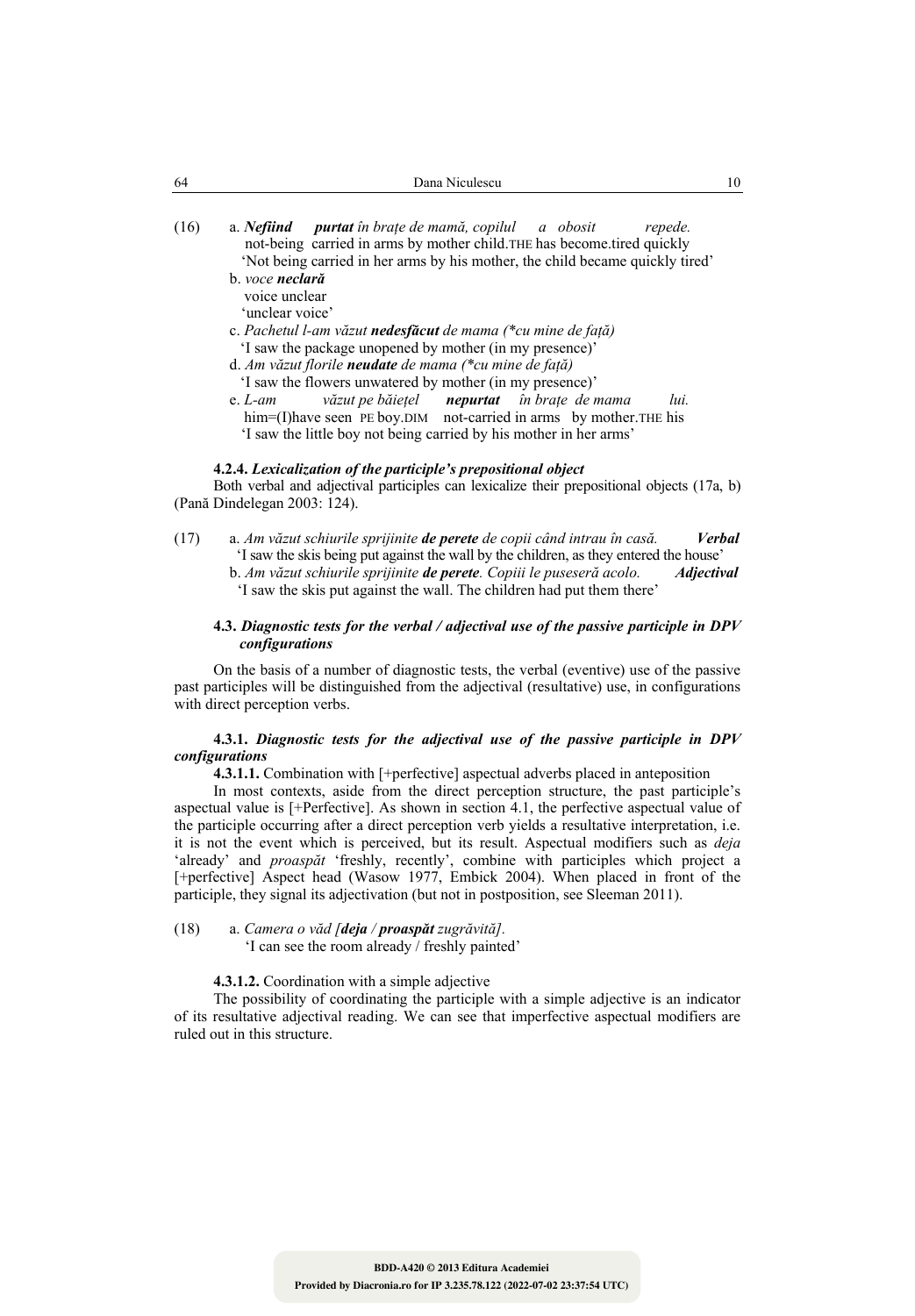| 64   | Dana Niculescu                                                                                                                                                                                                                      |  |  |  |  |  |  |
|------|-------------------------------------------------------------------------------------------------------------------------------------------------------------------------------------------------------------------------------------|--|--|--|--|--|--|
| (16) | a. Ne <b>fiind purtat</b> în brațe de mamă, copilul a obosit<br>repede.<br>not-being carried in arms by mother child. THE has become tired quickly<br>'Not being carried in her arms by his mother, the child became quickly tired' |  |  |  |  |  |  |
|      | b. voce neclară<br>voice unclear<br>'unclear voice'                                                                                                                                                                                 |  |  |  |  |  |  |
|      | c. Pachetul l-am văzut <b>nedesfăcut</b> de mama (*cu mine de față)                                                                                                                                                                 |  |  |  |  |  |  |
|      | I saw the package unopened by mother (in my presence)'                                                                                                                                                                              |  |  |  |  |  |  |
|      | d. Am văzut florile neudate de mama (*cu mine de față)                                                                                                                                                                              |  |  |  |  |  |  |
|      | 'I saw the flowers unwatered by mother (in my presence)'                                                                                                                                                                            |  |  |  |  |  |  |
|      | văzut pe băiețel <b>nepurtat</b> în brațe de mama<br>lui.<br>e. $L$ -am                                                                                                                                                             |  |  |  |  |  |  |
|      | him=(I) have seen PE boy. DIM not-carried in arms by mother. THE his                                                                                                                                                                |  |  |  |  |  |  |
|      | 'I saw the little boy not being carried by his mother in her arms'                                                                                                                                                                  |  |  |  |  |  |  |

#### **4.2.4.** *Lexicalization of the participle's prepositional object*

Both verbal and adjectival participles can lexicalize their prepositional objects (17a, b) (Pană Dindelegan 2003: 124).

(17) a. *Am văzut schiurile sprijinite de perete de copii când intrau în casă. Verbal* 'I saw the skis being put against the wall by the children, as they entered the house' b. *Am văzut schiurile sprijinite de perete. Copiii le puseseră acolo. Adjectival* 'I saw the skis put against the wall. The children had put them there'

# **4.3.** *Diagnostic tests for the verbal / adjectival use of the passive participle in DPV configurations*

On the basis of a number of diagnostic tests, the verbal (eventive) use of the passive past participles will be distinguished from the adjectival (resultative) use, in configurations with direct perception verbs.

# **4.3.1.** *Diagnostic tests for the adjectival use of the passive participle in DPV configurations*

**4.3.1.1.** Combination with [+perfective] aspectual adverbs placed in anteposition

In most contexts, aside from the direct perception structure, the past participle's aspectual value is [+Perfective]. As shown in section 4.1, the perfective aspectual value of the participle occurring after a direct perception verb yields a resultative interpretation, i.e. it is not the event which is perceived, but its result. Aspectual modifiers such as *deja*  'already' and *proaspăt* 'freshly, recently', combine with participles which project a [+perfective] Aspect head (Wasow 1977, Embick 2004). When placed in front of the participle, they signal its adjectivation (but not in postposition, see Sleeman 2011).

(18) a. *Camera o văd [deja / proaspăt zugrăvită].* 'I can see the room already / freshly painted'

# **4.3.1.2.** Coordination with a simple adjective

The possibility of coordinating the participle with a simple adjective is an indicator of its resultative adjectival reading. We can see that imperfective aspectual modifiers are ruled out in this structure.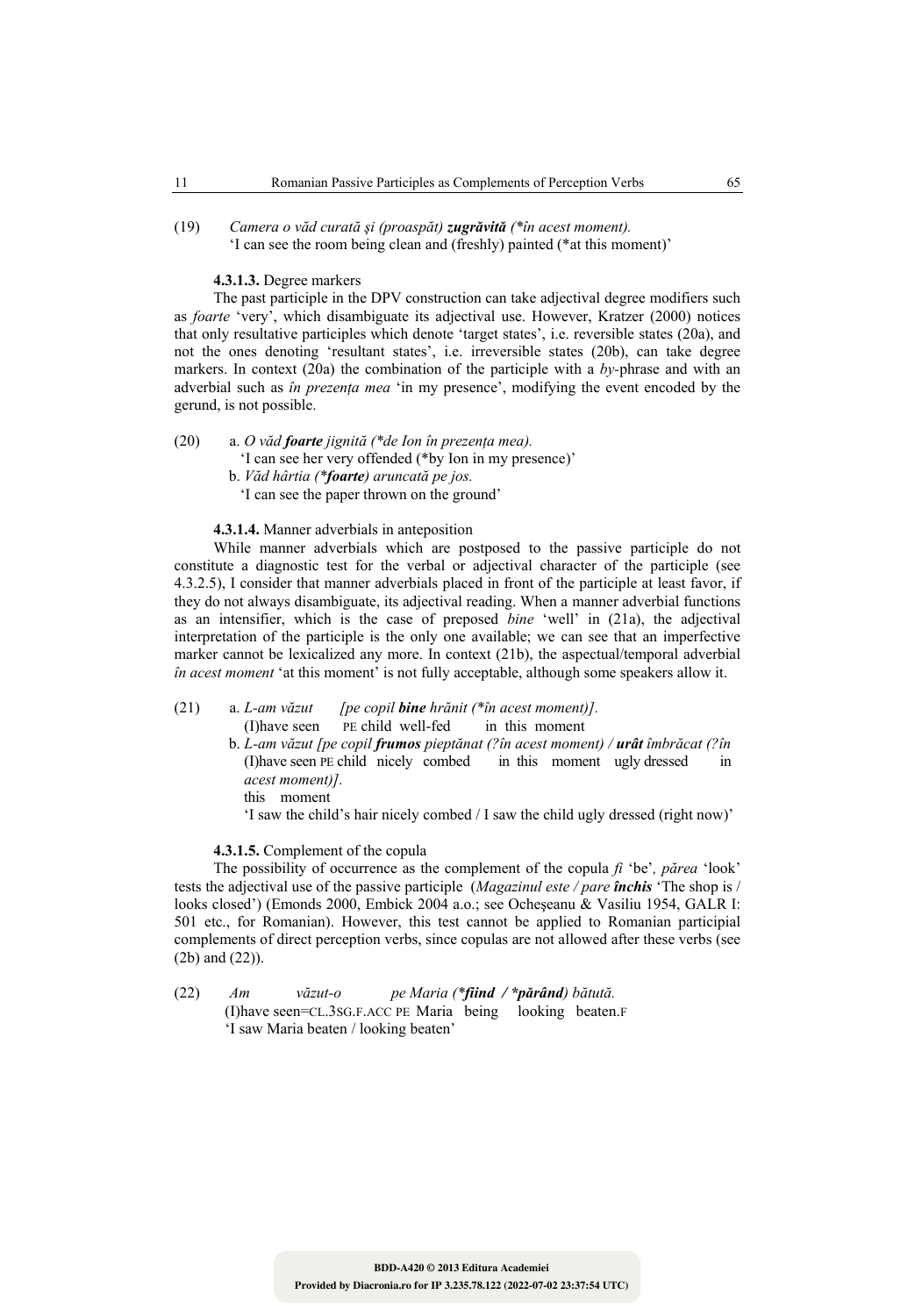(19) *Camera o văd curată şi (proaspăt) zugrăvită (\*în acest moment).*  'I can see the room being clean and (freshly) painted (\*at this moment)'

# **4.3.1.3.** Degree markers

The past participle in the DPV construction can take adjectival degree modifiers such as *foarte* 'very', which disambiguate its adjectival use. However, Kratzer (2000) notices that only resultative participles which denote 'target states', i.e. reversible states (20a), and not the ones denoting 'resultant states', i.e. irreversible states (20b), can take degree markers. In context (20a) the combination of the participle with a *by-*phrase and with an adverbial such as *în prezenţa mea* 'in my presence', modifying the event encoded by the gerund, is not possible.

# (20) a. *O văd foarte jignită (\*de Ion în prezenţa mea).*

'I can see her very offended (\*by Ion in my presence)'

- b. *Văd hârtia (\*foarte) aruncată pe jos.*
- 'I can see the paper thrown on the ground'

# **4.3.1.4.** Manner adverbials in anteposition

While manner adverbials which are postposed to the passive participle do not constitute a diagnostic test for the verbal or adjectival character of the participle (see 4.3.2.5), I consider that manner adverbials placed in front of the participle at least favor, if they do not always disambiguate, its adjectival reading. When a manner adverbial functions as an intensifier, which is the case of preposed *bine* 'well' in (21a), the adjectival interpretation of the participle is the only one available; we can see that an imperfective marker cannot be lexicalized any more. In context (21b), the aspectual/temporal adverbial *în acest moment* 'at this moment' is not fully acceptable, although some speakers allow it.

#### (21) a. *L-am văzut [pe copil bine hrănit (\*în acest moment)].*  (I)have seen PE child well-fed in this moment

 b. *L-am văzut [pe copil frumos pieptănat (?în acest moment) / urât îmbrăcat (?în*  (I)have seen PE child nicely combed in this moment ugly dressed in  *acest moment)].*  this moment

'I saw the child's hair nicely combed / I saw the child ugly dressed (right now)'

# **4.3.1.5.** Complement of the copula

The possibility of occurrence as the complement of the copula *fi* 'be'*, părea* 'look' tests the adjectival use of the passive participle (*Magazinul este / pare închis* 'The shop is / looks closed') (Emonds 2000, Embick 2004 a.o.; see Ocheşeanu & Vasiliu 1954, GALR I: 501 etc., for Romanian). However, this test cannot be applied to Romanian participial complements of direct perception verbs, since copulas are not allowed after these verbs (see (2b) and (22)).

(22) *Am văzut-o pe Maria (\*fiind / \*părând) bătută.* (I)have seen=CL.3SG.F.ACC PE Maria being looking beaten.F 'I saw Maria beaten / looking beaten'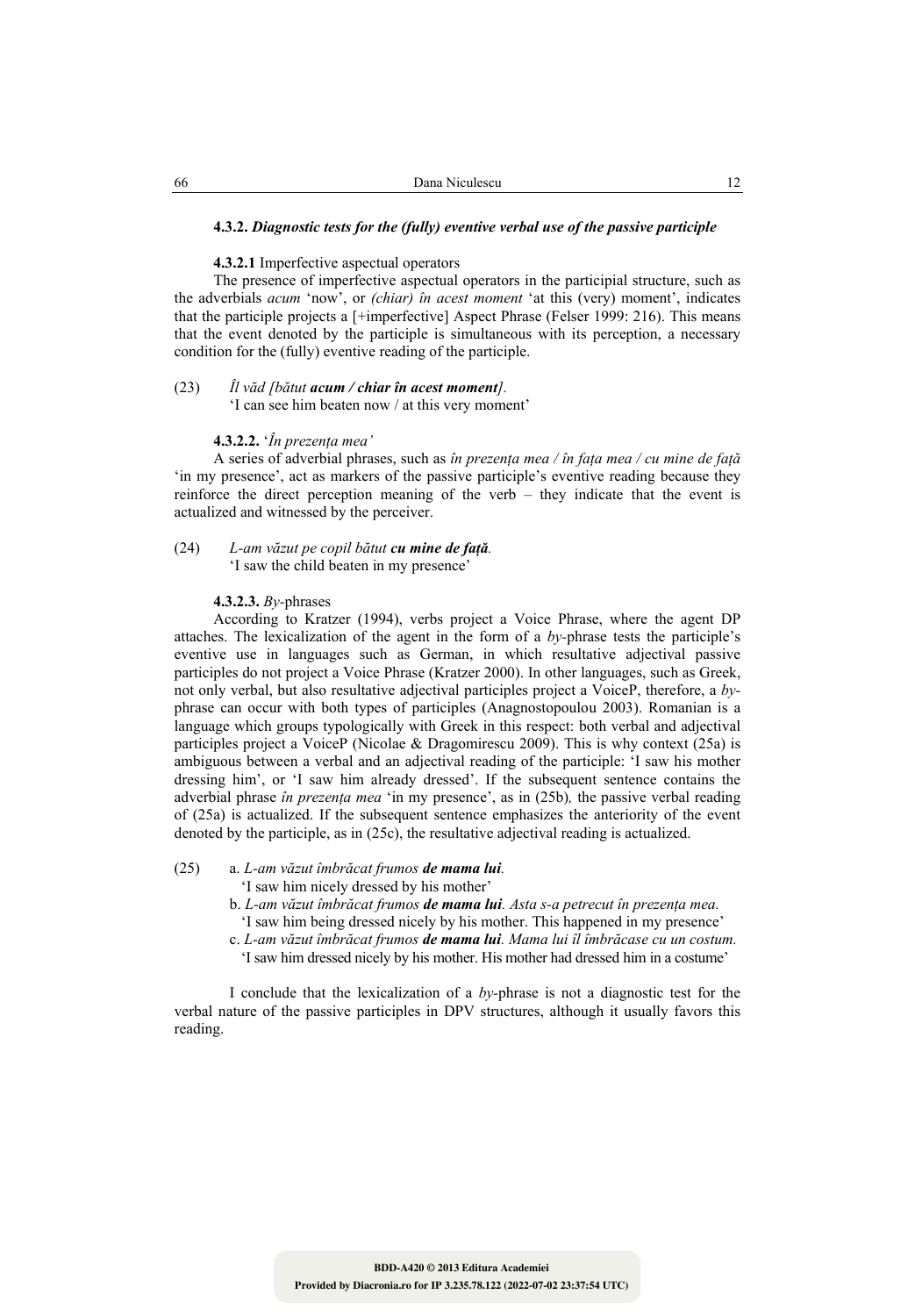#### **4.3.2.** *Diagnostic tests for the (fully) eventive verbal use of the passive participle*

#### **4.3.2.1** Imperfective aspectual operators

The presence of imperfective aspectual operators in the participial structure, such as the adverbials *acum* 'now', or *(chiar) în acest moment* 'at this (very) moment', indicates that the participle projects a [+imperfective] Aspect Phrase (Felser 1999: 216). This means that the event denoted by the participle is simultaneous with its perception, a necessary condition for the (fully) eventive reading of the participle.

# (23) *Îl văd [bătut acum / chiar în acest moment].*

'I can see him beaten now / at this very moment'

# **4.3.2.2.** '*În prezenţa mea'*

A series of adverbial phrases, such as *în prezenţa mea / în faţa mea / cu mine de faţă*  'in my presence', act as markers of the passive participle's eventive reading because they reinforce the direct perception meaning of the verb – they indicate that the event is actualized and witnessed by the perceiver.

(24) *L-am văzut pe copil bătut cu mine de faţă.*  'I saw the child beaten in my presence'

#### **4.3.2.3.** *By-*phrases

According to Kratzer (1994), verbs project a Voice Phrase, where the agent DP attaches. The lexicalization of the agent in the form of a *by-*phrase tests the participle's eventive use in languages such as German, in which resultative adjectival passive participles do not project a Voice Phrase (Kratzer 2000). In other languages, such as Greek, not only verbal, but also resultative adjectival participles project a VoiceP, therefore, a *by*phrase can occur with both types of participles (Anagnostopoulou 2003). Romanian is a language which groups typologically with Greek in this respect: both verbal and adjectival participles project a VoiceP (Nicolae & Dragomirescu 2009). This is why context (25a) is ambiguous between a verbal and an adjectival reading of the participle: 'I saw his mother dressing him', or 'I saw him already dressed'. If the subsequent sentence contains the adverbial phrase *în prezenţa mea* 'in my presence', as in (25b)*,* the passive verbal reading of (25a) is actualized. If the subsequent sentence emphasizes the anteriority of the event denoted by the participle, as in (25c), the resultative adjectival reading is actualized.

### (25) a. *L-am văzut îmbrăcat frumos de mama lui.*

'I saw him nicely dressed by his mother'

- b. *L-am văzut îmbrăcat frumos de mama lui. Asta s-a petrecut în prezenţa mea.* 'I saw him being dressed nicely by his mother. This happened in my presence'
- c. *L-am văzut îmbrăcat frumos de mama lui. Mama lui îl îmbrăcase cu un costum.*
- 'I saw him dressed nicely by his mother. His mother had dressed him in a costume'

 I conclude that the lexicalization of a *by-*phrase is not a diagnostic test for the verbal nature of the passive participles in DPV structures, although it usually favors this reading.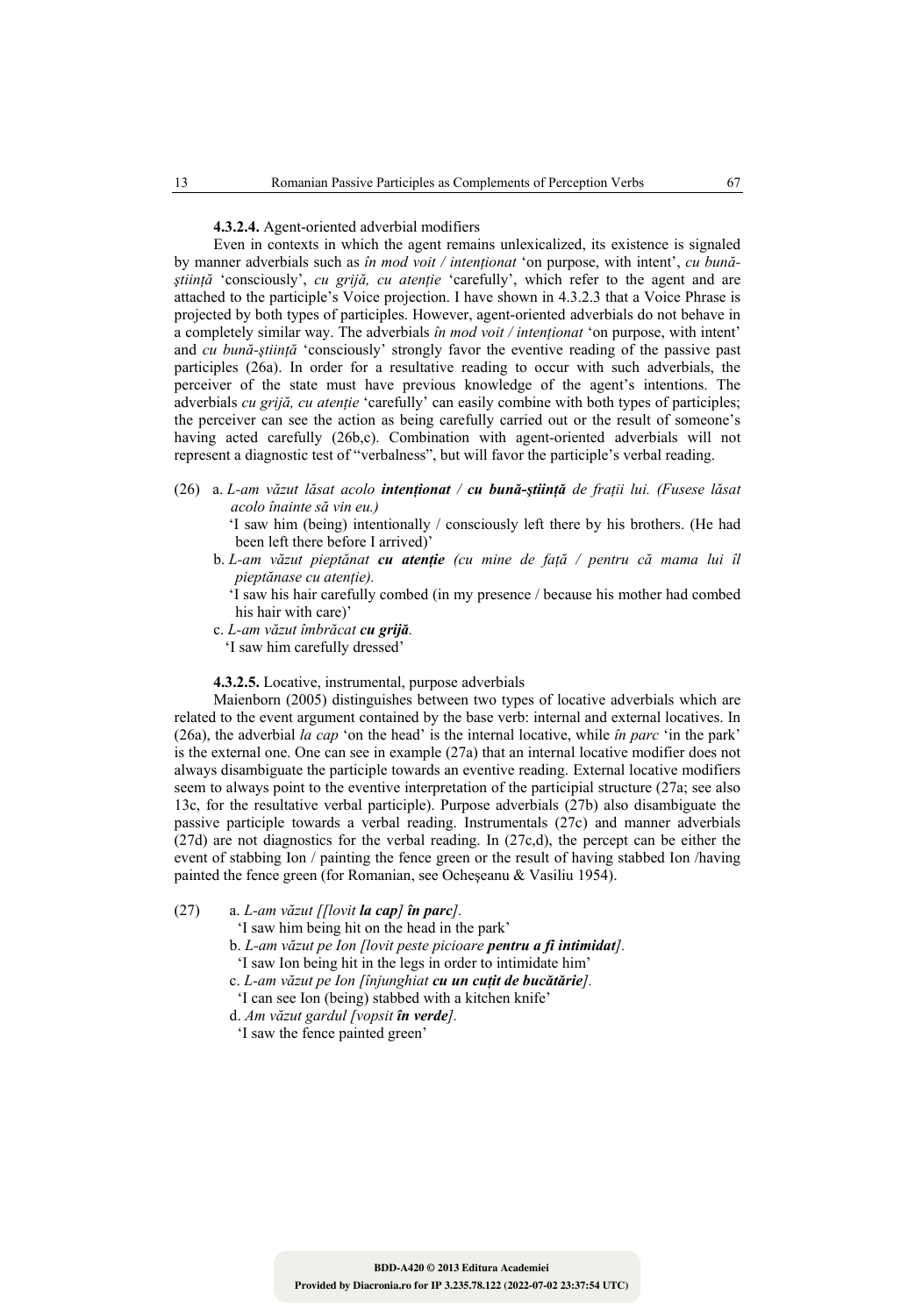#### **4.3.2.4.** Agent-oriented adverbial modifiers

Even in contexts in which the agent remains unlexicalized, its existence is signaled by manner adverbials such as *în mod voit / intenţionat* 'on purpose, with intent', *cu bunăştiinţă* 'consciously', *cu grijă, cu atenţie* 'carefully', which refer to the agent and are attached to the participle's Voice projection. I have shown in 4.3.2.3 that a Voice Phrase is projected by both types of participles. However, agent-oriented adverbials do not behave in a completely similar way. The adverbials *în mod voit / intenţionat* 'on purpose, with intent' and *cu bună-ştiinţă* 'consciously' strongly favor the eventive reading of the passive past participles (26a). In order for a resultative reading to occur with such adverbials, the perceiver of the state must have previous knowledge of the agent's intentions. The adverbials *cu grijă, cu atenție* 'carefully' can easily combine with both types of participles; the perceiver can see the action as being carefully carried out or the result of someone's having acted carefully (26b,c). Combination with agent-oriented adverbials will not represent a diagnostic test of "verbalness", but will favor the participle's verbal reading.

(26) a. *L-am văzut lăsat acolo intenţionat / cu bună-ştiinţă de fraţii lui. (Fusese lăsat acolo înainte să vin eu.)* 

 'I saw him (being) intentionally / consciously left there by his brothers. (He had been left there before I arrived)'

b. *L-am văzut pieptănat cu atenţie (cu mine de faţă / pentru că mama lui îl pieptănase cu atenţie).* 

'I saw his hair carefully combed (in my presence / because his mother had combed his hair with care)'

- c. *L-am văzut îmbrăcat cu grijă.*
- 'I saw him carefully dressed'

**4.3.2.5.** Locative, instrumental, purpose adverbials

Maienborn (2005) distinguishes between two types of locative adverbials which are related to the event argument contained by the base verb: internal and external locatives. In (26a), the adverbial *la cap* 'on the head' is the internal locative, while *în parc* 'in the park' is the external one. One can see in example (27a) that an internal locative modifier does not always disambiguate the participle towards an eventive reading. External locative modifiers seem to always point to the eventive interpretation of the participial structure (27a; see also 13c, for the resultative verbal participle). Purpose adverbials (27b) also disambiguate the passive participle towards a verbal reading. Instrumentals (27c) and manner adverbials (27d) are not diagnostics for the verbal reading. In (27c,d), the percept can be either the event of stabbing Ion / painting the fence green or the result of having stabbed Ion /having painted the fence green (for Romanian, see Ocheşeanu & Vasiliu 1954).

(27) a. *L-am văzut [[lovit la cap] în parc].* 

'I saw him being hit on the head in the park'

- b. *L-am văzut pe Ion [lovit peste picioare pentru a fi intimidat].*
- 'I saw Ion being hit in the legs in order to intimidate him'

c. *L-am văzut pe Ion [înjunghiat cu un cuţit de bucătărie].* 

'I can see Ion (being) stabbed with a kitchen knife'

d. *Am văzut gardul [vopsit în verde].*

'I saw the fence painted green'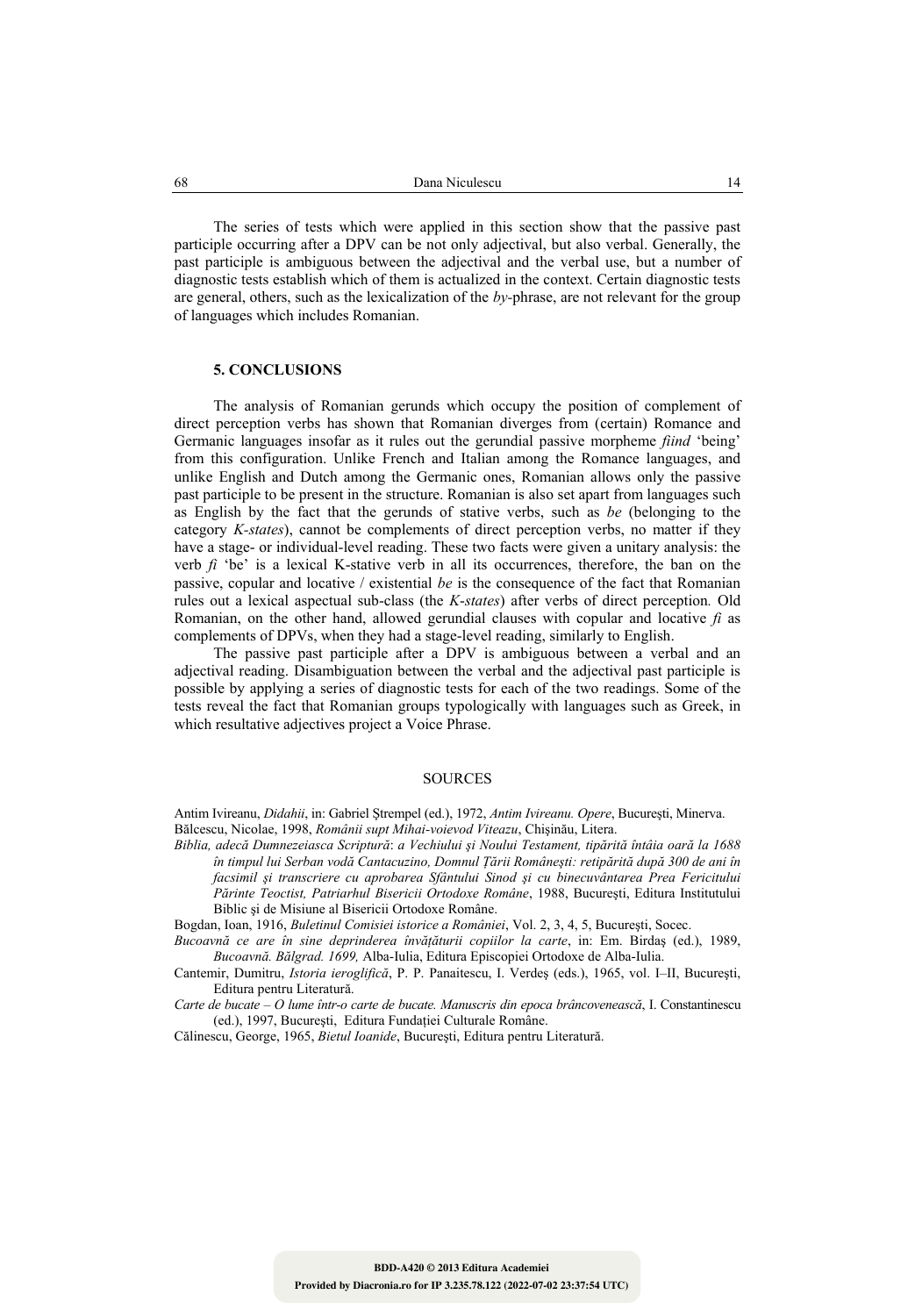The series of tests which were applied in this section show that the passive past participle occurring after a DPV can be not only adjectival, but also verbal. Generally, the past participle is ambiguous between the adjectival and the verbal use, but a number of diagnostic tests establish which of them is actualized in the context. Certain diagnostic tests are general, others, such as the lexicalization of the *by-*phrase, are not relevant for the group of languages which includes Romanian.

#### **5. CONCLUSIONS**

The analysis of Romanian gerunds which occupy the position of complement of direct perception verbs has shown that Romanian diverges from (certain) Romance and Germanic languages insofar as it rules out the gerundial passive morpheme *fiind* 'being' from this configuration. Unlike French and Italian among the Romance languages, and unlike English and Dutch among the Germanic ones, Romanian allows only the passive past participle to be present in the structure. Romanian is also set apart from languages such as English by the fact that the gerunds of stative verbs, such as *be* (belonging to the category *K-states*), cannot be complements of direct perception verbs, no matter if they have a stage- or individual-level reading. These two facts were given a unitary analysis: the verb  $f_i$  'be' is a lexical K-stative verb in all its occurrences, therefore, the ban on the passive, copular and locative / existential *be* is the consequence of the fact that Romanian rules out a lexical aspectual sub-class (the *K*-*states*) after verbs of direct perception*.* Old Romanian, on the other hand, allowed gerundial clauses with copular and locative *fi* as complements of DPVs, when they had a stage-level reading, similarly to English.

The passive past participle after a DPV is ambiguous between a verbal and an adjectival reading. Disambiguation between the verbal and the adjectival past participle is possible by applying a series of diagnostic tests for each of the two readings. Some of the tests reveal the fact that Romanian groups typologically with languages such as Greek, in which resultative adjectives project a Voice Phrase.

## SOURCES

Antim Ivireanu, *Didahii*, in: Gabriel Ştrempel (ed.), 1972, *Antim Ivireanu. Opere*, Bucureşti, Minerva. Bălcescu, Nicolae, 1998, *Românii supt Mihai-voievod Viteazu*, Chişinău, Litera.

*Biblia, adecă Dumnezeiasca Scriptură*: *a Vechiului şi Noului Testament, tipărită întâia oară la 1688 în timpul lui Serban vodă Cantacuzino, Domnul Ţării Româneşti: retipărită după 300 de ani în facsimil şi transcriere cu aprobarea Sfântului Sinod şi cu binecuvântarea Prea Fericitului Părinte Teoctist, Patriarhul Bisericii Ortodoxe Române*, 1988, Bucureşti, Editura Institutului Biblic şi de Misiune al Bisericii Ortodoxe Române.

Bogdan, Ioan, 1916, *Buletinul Comisiei istorice a României*, Vol. 2, 3, 4, 5, Bucureşti, Socec.

*Bucoavnă ce are în sine deprinderea învăţăturii copiilor la carte*, in: Em. Birdaş (ed.), 1989, *Bucoavnă. Bălgrad. 1699,* Alba-Iulia, Editura Episcopiei Ortodoxe de Alba-Iulia.

Cantemir, Dumitru, *Istoria ieroglifică*, P. P. Panaitescu, I. Verdeş (eds.), 1965, vol. I–II, Bucureşti, Editura pentru Literatură.

*Carte de bucate – O lume într-o carte de bucate. Manuscris din epoca brâncovenească*, I. Constantinescu (ed.), 1997, Bucureşti, Editura Fundaţiei Culturale Române.

Călinescu, George, 1965, *Bietul Ioanide*, Bucureşti, Editura pentru Literatură.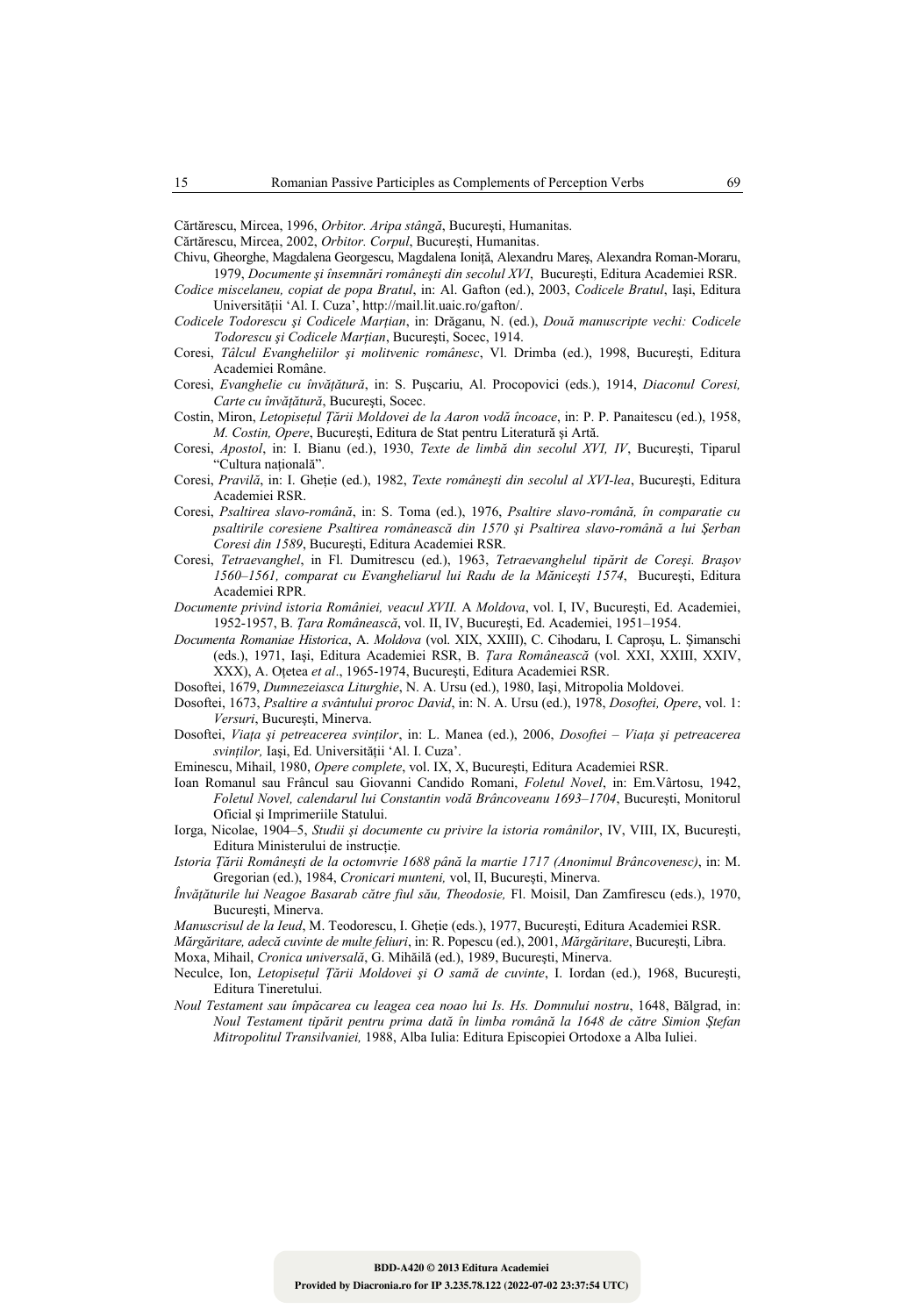Cărtărescu, Mircea, 1996, *Orbitor. Aripa stângă*, Bucureşti, Humanitas.

- Cărtărescu, Mircea, 2002, *Orbitor. Corpul*, Bucureşti, Humanitas.
- Chivu, Gheorghe, Magdalena Georgescu, Magdalena Ioniţă, Alexandru Mareş, Alexandra Roman-Moraru, 1979, *Documente şi însemnări româneşti din secolul XVI*, Bucureşti, Editura Academiei RSR.
- *Codice miscelaneu, copiat de popa Bratul*, in: Al. Gafton (ed.), 2003, *Codicele Bratul*, Iaşi, Editura Universităţii 'Al. I. Cuza', http://mail.lit.uaic.ro/gafton/.
- *Codicele Todorescu şi Codicele Marţian*, in: Drăganu, N. (ed.), *Două manuscripte vechi: Codicele Todorescu şi Codicele Marţian*, Bucureşti, Socec, 1914.
- Coresi, *Tâlcul Evangheliilor şi molitvenic românesc*, Vl. Drimba (ed.), 1998, Bucureşti, Editura Academiei Române.
- Coresi, *Evanghelie cu învăţătură*, in: S. Puşcariu, Al. Procopovici (eds.), 1914, *Diaconul Coresi, Carte cu învăţătură*, Bucureşti, Socec.
- Costin, Miron, *Letopiseţul Ţării Moldovei de la Aaron vodă încoace*, in: P. P. Panaitescu (ed.), 1958, *M. Costin, Opere*, Bucureşti, Editura de Stat pentru Literatură şi Artă.
- Coresi, *Apostol*, in: I. Bianu (ed.), 1930, *Texte de limbă din secolul XVI, IV*, Bucureşti, Tiparul "Cultura naţională".
- Coresi, *Pravilă*, in: I. Gheţie (ed.), 1982, *Texte româneşti din secolul al XVI-lea*, Bucureşti, Editura Academiei RSR.
- Coresi, *Psaltirea slavo-română*, in: S. Toma (ed.), 1976, *Psaltire slavo-română, în comparatie cu psaltirile coresiene Psaltirea românească din 1570 şi Psaltirea slavo-română a lui Şerban Coresi din 1589*, Bucureşti, Editura Academiei RSR.
- Coresi, *Tetraevanghel*, in Fl. Dumitrescu (ed.), 1963, *Tetraevanghelul tipărit de Coreşi. Braşov 1560–1561, comparat cu Evangheliarul lui Radu de la Măniceşti 1574*,Bucureşti, Editura Academiei RPR.
- *Documente privind istoria României, veacul XVII.* A *Moldova*, vol. I, IV, Bucureşti, Ed. Academiei, 1952-1957, B. *Ţara Românească*, vol. II, IV, Bucureşti, Ed. Academiei, 1951–1954.
- *Documenta Romaniae Historica*, A. *Moldova* (vol. XIX, XXIII), C. Cihodaru, I. Caproşu, L. Şimanschi (eds.), 1971, Iaşi, Editura Academiei RSR, B. *Ţara Românească* (vol. XXI, XXIII, XXIV, XXX), A. Oţetea *et al*., 1965-1974, Bucureşti, Editura Academiei RSR.
- Dosoftei, 1679, *Dumnezeiasca Liturghie*, N. A. Ursu (ed.), 1980, Iaşi, Mitropolia Moldovei.
- Dosoftei, 1673, *Psaltire a svântului proroc David*, in: N. A. Ursu (ed.), 1978, *Dosoftei, Opere*, vol. 1: *Versuri*, Bucureşti, Minerva.
- Dosoftei, *Viaţa şi petreacerea svinţilor*, in: L. Manea (ed.), 2006, *Dosoftei Viaţa şi petreacerea svinţilor,* Iaşi, Ed. Universităţii 'Al. I. Cuza'.
- Eminescu, Mihail, 1980, *Opere complete*, vol. IX, X, Bucureşti, Editura Academiei RSR.
- Ioan Romanul sau Frâncul sau Giovanni Candido Romani, *Foletul Novel*, in: Em.Vârtosu, 1942, *Foletul Novel, calendarul lui Constantin vodă Brâncoveanu 1693–1704*, Bucureşti, Monitorul Oficial şi Imprimeriile Statului.
- Iorga, Nicolae, 1904–5, *Studii şi documente cu privire la istoria românilor*, IV, VIII, IX, Bucureşti, Editura Ministerului de instrucție.
- *Istoria Ţării Româneşti de la octomvrie 1688 până la martie 1717 (Anonimul Brâncovenesc)*, in: M. Gregorian (ed.), 1984, *Cronicari munteni,* vol, II, Bucureşti, Minerva.
- *Învăţăturile lui Neagoe Basarab către fiul său, Theodosie,* Fl. Moisil, Dan Zamfirescu (eds.), 1970, Bucureşti, Minerva.
- *Manuscrisul de la Ieud*, M. Teodorescu, I. Ghetie (eds.), 1977, București, Editura Academiei RSR.
- *Mărgăritare, adecă cuvinte de multe feliuri*, in: R. Popescu (ed.), 2001, *Mărgăritare*, Bucureşti, Libra.

Moxa, Mihail, *Cronica universală*, G. Mihăilă (ed.), 1989, Bucureşti, Minerva.

- Neculce, Ion, *Letopiseţul Ţării Moldovei şi O samă de cuvinte*, I. Iordan (ed.), 1968, Bucureşti, Editura Tineretului.
- *Noul Testament sau împăcarea cu leagea cea noao lui Is. Hs. Domnului nostru*, 1648, Bălgrad, in: *Noul Testament tipărit pentru prima dată în limba română la 1648 de către Simion Ştefan Mitropolitul Transilvaniei,* 1988, Alba Iulia: Editura Episcopiei Ortodoxe a Alba Iuliei.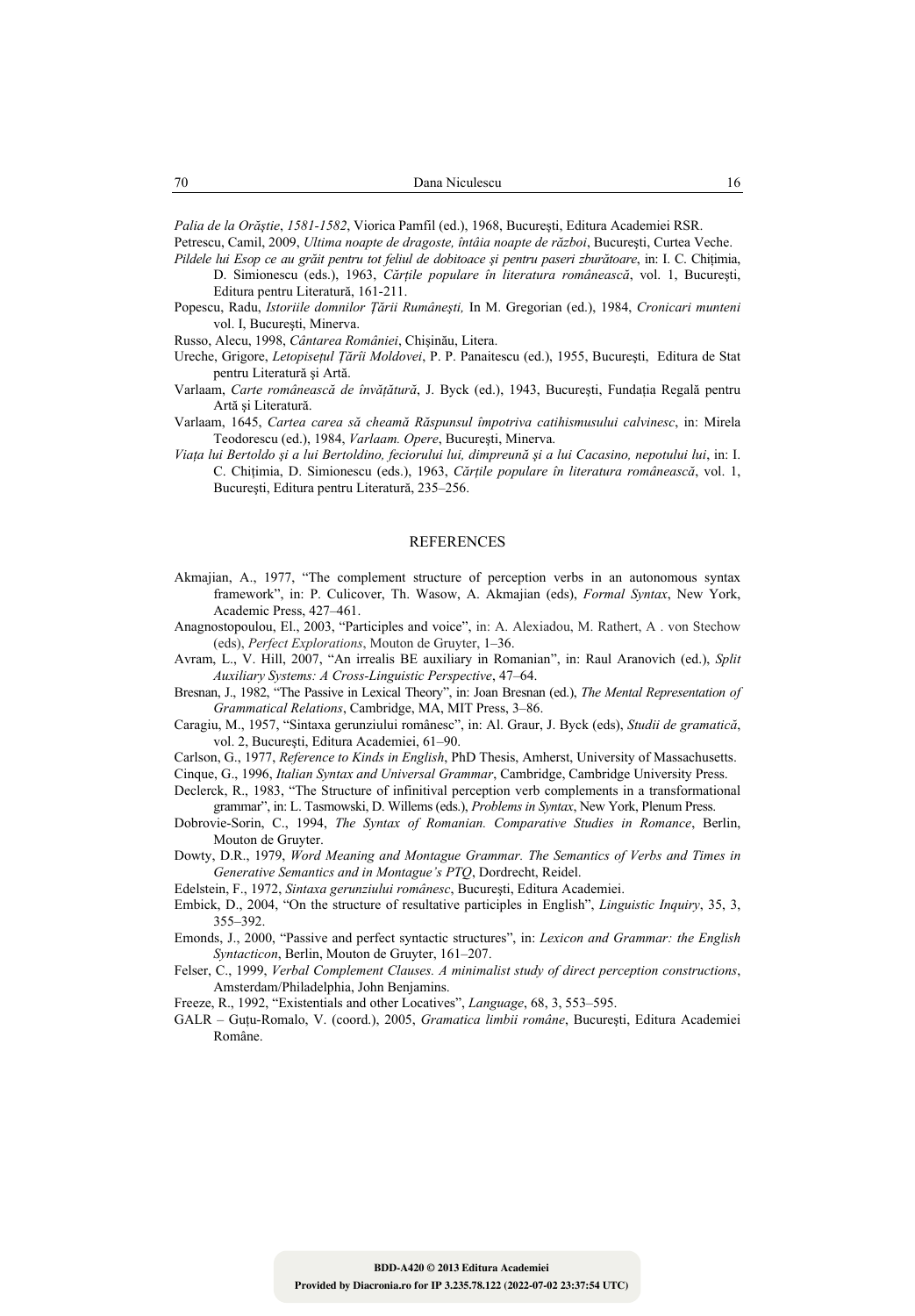*Palia de la Orăştie*, *1581-1582*, Viorica Pamfil (ed.), 1968, Bucureşti, Editura Academiei RSR.

Petrescu, Camil, 2009, *Ultima noapte de dragoste, întâia noapte de război*, Bucureşti, Curtea Veche.

- *Pildele lui Esop ce au grăit pentru tot feliul de dobitoace şi pentru paseri zburătoare*, in: I. C. Chiţimia, D. Simionescu (eds.), 1963, *Cărţile populare în literatura românească*, vol. 1, Bucureşti, Editura pentru Literatură, 161-211.
- Popescu, Radu, *Istoriile domnilor Ţării Rumâneşti,* In M. Gregorian (ed.), 1984, *Cronicari munteni* vol. I, Bucureşti, Minerva.

Russo, Alecu, 1998, *Cântarea României*, Chişinău, Litera.

- Ureche, Grigore, *Letopiseţul Ţărîi Moldovei*, P. P. Panaitescu (ed.), 1955, Bucureşti, Editura de Stat pentru Literatură şi Artă.
- Varlaam, *Carte românească de învăţătură*, J. Byck (ed.), 1943, Bucureşti, Fundaţia Regală pentru Artă şi Literatură.
- Varlaam, 1645, *Cartea carea să cheamă Răspunsul împotriva catihismusului calvinesc*, in: Mirela Teodorescu (ed.), 1984, *Varlaam. Opere*, Bucureşti, Minerva.
- *Viaţa lui Bertoldo şi a lui Bertoldino, feciorului lui, dimpreună şi a lui Cacasino, nepotului lui*, in: I. C. Chiţimia, D. Simionescu (eds.), 1963, *Cărţile populare în literatura românească*, vol. 1, Bucureşti, Editura pentru Literatură, 235–256.

#### REFERENCES

- Akmajian, A., 1977, "The complement structure of perception verbs in an autonomous syntax framework", in: P. Culicover, Th. Wasow, A. Akmajian (eds), *Formal Syntax*, New York, Academic Press, 427–461.
- Anagnostopoulou, El., 2003, "Participles and voice", in: A. Alexiadou, M. Rathert, A . von Stechow (eds), *Perfect Explorations*, Mouton de Gruyter, 1–36.
- Avram, L., V. Hill, 2007, "An irrealis BE auxiliary in Romanian", in: Raul Aranovich (ed.), *Split Auxiliary Systems: A Cross-Linguistic Perspective*, 47–64.
- Bresnan, J., 1982, "The Passive in Lexical Theory", in: Joan Bresnan (ed.), *The Mental Representation of Grammatical Relations*, Cambridge, MA, MIT Press, 3–86.
- Caragiu, M., 1957, "Sintaxa gerunziului românesc", in: Al. Graur, J. Byck (eds), *Studii de gramatică*, vol. 2, Bucureşti, Editura Academiei, 61–90.
- Carlson, G., 1977, *Reference to Kinds in English*, PhD Thesis, Amherst, University of Massachusetts.

Cinque, G., 1996, *Italian Syntax and Universal Grammar*, Cambridge, Cambridge University Press.

- Declerck, R., 1983, "The Structure of infinitival perception verb complements in a transformational grammar", in: L. Tasmowski, D. Willems (eds.), *Problems in Syntax*, New York, Plenum Press.
- Dobrovie-Sorin, C., 1994, *The Syntax of Romanian. Comparative Studies in Romance*, Berlin, Mouton de Gruyter.
- Dowty, D.R., 1979, *Word Meaning and Montague Grammar. The Semantics of Verbs and Times in Generative Semantics and in Montague's PTQ*, Dordrecht, Reidel.
- Edelstein, F., 1972, *Sintaxa gerunziului românesc*, Bucureşti, Editura Academiei.
- Embick, D., 2004, "On the structure of resultative participles in English", *Linguistic Inquiry*, 35, 3, 355–392.
- Emonds, J., 2000, "Passive and perfect syntactic structures", in: *Lexicon and Grammar: the English Syntacticon*, Berlin, Mouton de Gruyter, 161–207.
- Felser, C., 1999, *Verbal Complement Clauses. A minimalist study of direct perception constructions*, Amsterdam/Philadelphia, John Benjamins.
- Freeze, R., 1992, "Existentials and other Locatives", *Language*, 68, 3, 553–595.
- GALR Guţu-Romalo, V. (coord.), 2005, *Gramatica limbii române*, Bucureşti, Editura Academiei Române.